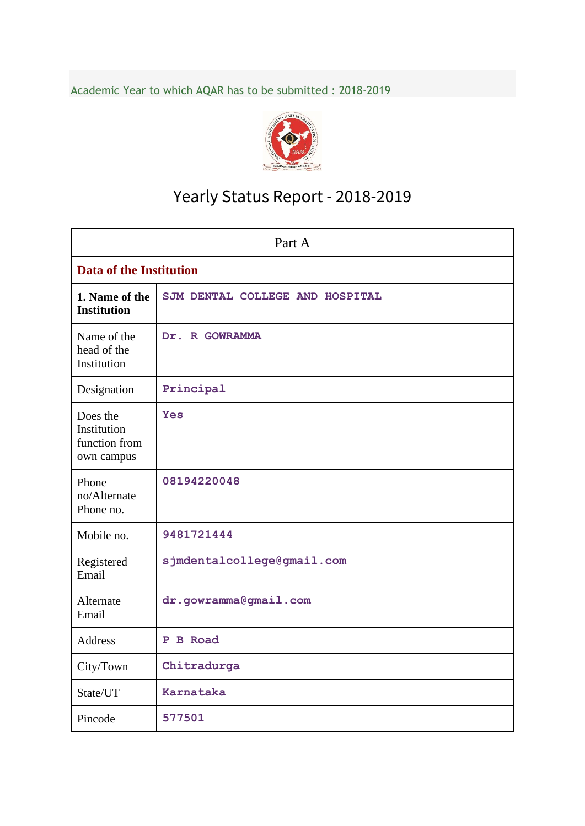Academic Year to which AQAR has to be submitted : 2018-2019



# Yearly Status Report - 2018-2019

| Part A                                                 |                                 |  |  |  |  |  |
|--------------------------------------------------------|---------------------------------|--|--|--|--|--|
| <b>Data of the Institution</b>                         |                                 |  |  |  |  |  |
| 1. Name of the<br><b>Institution</b>                   | SJM DENTAL COLLEGE AND HOSPITAL |  |  |  |  |  |
| Name of the<br>head of the<br>Institution              | Dr. R GOWRAMMA                  |  |  |  |  |  |
| Designation                                            | Principal                       |  |  |  |  |  |
| Does the<br>Institution<br>function from<br>own campus | <b>Yes</b>                      |  |  |  |  |  |
| Phone<br>no/Alternate<br>Phone no.                     | 08194220048                     |  |  |  |  |  |
| Mobile no.                                             | 9481721444                      |  |  |  |  |  |
| Registered<br>Email                                    | sjmdentalcollege@gmail.com      |  |  |  |  |  |
| Alternate<br>Email                                     | dr.gowramma@gmail.com           |  |  |  |  |  |
| <b>Address</b>                                         | P B Road                        |  |  |  |  |  |
| City/Town                                              | Chitradurga                     |  |  |  |  |  |
| State/UT                                               | Karnataka                       |  |  |  |  |  |
| Pincode                                                | 577501                          |  |  |  |  |  |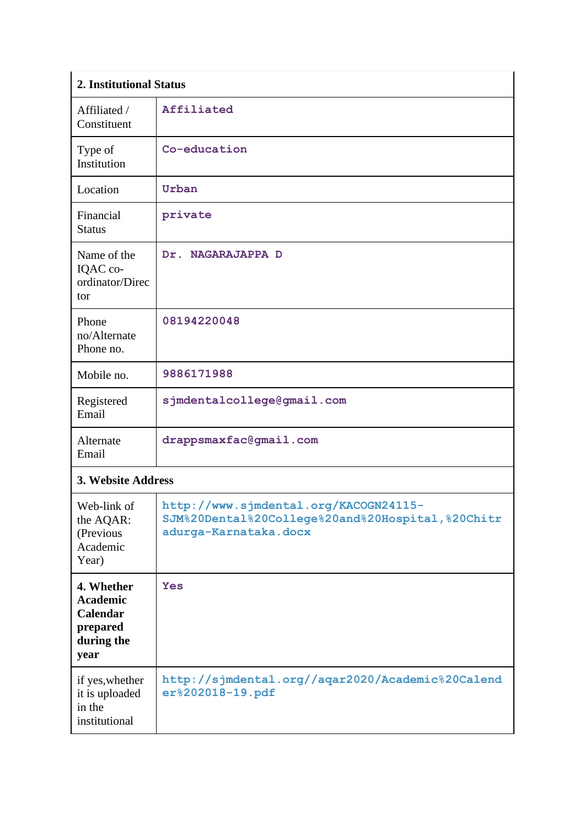| 2. Institutional Status                                                            |                                                                                                                    |
|------------------------------------------------------------------------------------|--------------------------------------------------------------------------------------------------------------------|
| Affiliated /<br>Constituent                                                        | Affiliated                                                                                                         |
| Type of<br>Institution                                                             | Co-education                                                                                                       |
| Location                                                                           | Urban                                                                                                              |
| Financial<br><b>Status</b>                                                         | private                                                                                                            |
| Name of the<br>IQAC co-<br>ordinator/Direc<br>tor                                  | Dr. NAGARAJAPPA D                                                                                                  |
| Phone<br>no/Alternate<br>Phone no.                                                 | 08194220048                                                                                                        |
| Mobile no.                                                                         | 9886171988                                                                                                         |
| Registered<br>Email                                                                | sjmdentalcollege@gmail.com                                                                                         |
| Alternate<br>Email                                                                 | drappsmaxfac@gmail.com                                                                                             |
| 3. Website Address                                                                 |                                                                                                                    |
| Web-link of<br>the AQAR:<br>(Previous<br>Academic<br>Year)                         | http://www.sjmdental.org/KACOGN24115-<br>SJM%20Dental%20College%20and%20Hospital,%20Chitr<br>adurga-Karnataka.docx |
| 4. Whether<br><b>Academic</b><br><b>Calendar</b><br>prepared<br>during the<br>year | Yes                                                                                                                |
| if yes, whether<br>it is uploaded<br>in the<br>institutional                       | http://sjmdental.org//aqar2020/Academic%20Calend<br>er%202018-19.pdf                                               |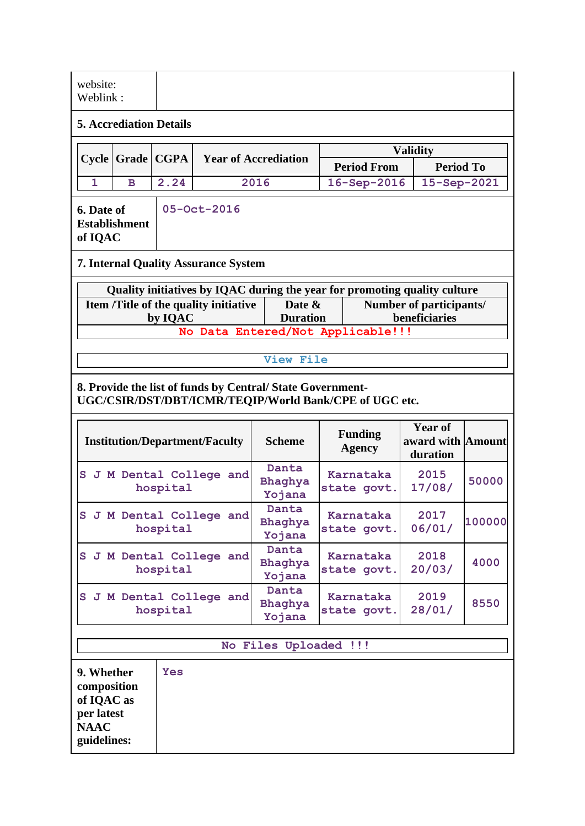| website:<br>Weblink:           |                                                                                                             |         |                                                                           |                           |                                          |  |                  |  |  |  |
|--------------------------------|-------------------------------------------------------------------------------------------------------------|---------|---------------------------------------------------------------------------|---------------------------|------------------------------------------|--|------------------|--|--|--|
| <b>5. Accrediation Details</b> |                                                                                                             |         |                                                                           |                           |                                          |  |                  |  |  |  |
|                                | <b>Validity</b><br>Cycle   Grade   CGPA                                                                     |         |                                                                           |                           |                                          |  |                  |  |  |  |
|                                |                                                                                                             |         | <b>Year of Accrediation</b>                                               |                           | <b>Period From</b>                       |  | <b>Period To</b> |  |  |  |
| 1                              | <sub>B</sub>                                                                                                | 2.24    | 2016                                                                      |                           | 16-Sep-2016                              |  | 15-Sep-2021      |  |  |  |
|                                | 05-Oct-2016<br>6. Date of<br><b>Establishment</b><br>of IQAC<br><b>7. Internal Quality Assurance System</b> |         |                                                                           |                           |                                          |  |                  |  |  |  |
|                                |                                                                                                             |         | Quality initiatives by IQAC during the year for promoting quality culture |                           |                                          |  |                  |  |  |  |
|                                |                                                                                                             | by IQAC | Item /Title of the quality initiative                                     | Date &<br><b>Duration</b> | Number of participants/<br>beneficiaries |  |                  |  |  |  |
|                                | No Data Entered/Not Applicable!!!                                                                           |         |                                                                           |                           |                                          |  |                  |  |  |  |
| View File                      |                                                                                                             |         |                                                                           |                           |                                          |  |                  |  |  |  |

#### **8. Provide the list of funds by Central/ State Government-UGC/CSIR/DST/DBT/ICMR/TEQIP/World Bank/CPE of UGC etc.**

| <b>Institution/Department/Faculty</b> | <b>Scheme</b>              | <b>Funding</b><br>Agency | <b>Year of</b><br>award with Amount<br>duration |        |
|---------------------------------------|----------------------------|--------------------------|-------------------------------------------------|--------|
| S J M Dental College and<br>hospital  | Danta<br>Bhaghya<br>Yojana | Karnataka<br>state govt. | 2015<br>17/08/                                  | 50000  |
| S J M Dental College and<br>hospital  | Danta<br>Bhaghya<br>Yojana | Karnataka<br>state govt. | 2017<br>06/01/                                  | 100000 |
| S J M Dental College and<br>hospital  | Danta<br>Bhaghya<br>Yojana | Karnataka<br>state govt. | 2018<br>20/03/                                  | 4000   |
| S J M Dental College and<br>hospital  | Danta<br>Bhaghya<br>Yojana | Karnataka<br>state govt. | 2019<br>28/01/                                  | 8550   |

### **No Files Uploaded !!!**

| 9. Whether<br>composition<br>of IQAC as<br>per latest<br><b>NAAC</b><br>guidelines: | <b>Yes</b> |
|-------------------------------------------------------------------------------------|------------|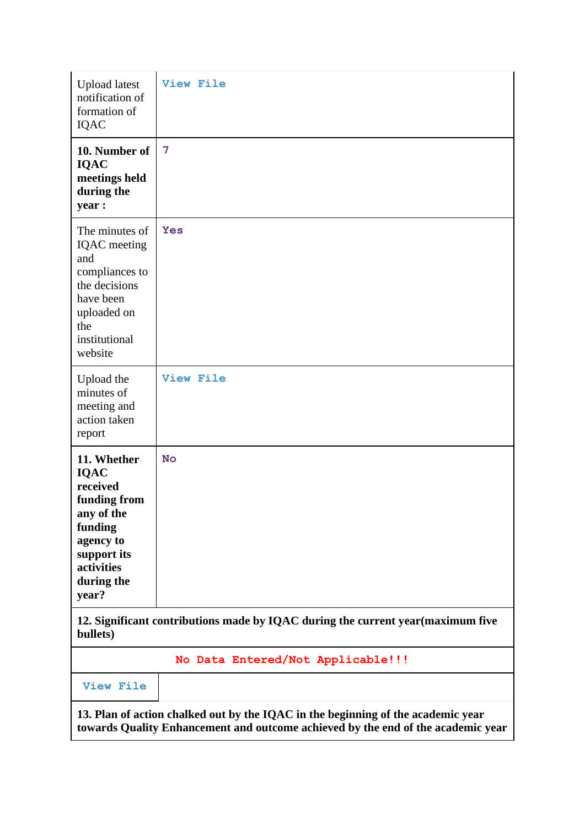| <b>Upload</b> latest<br>notification of<br>formation of<br><b>IQAC</b>                                                                           | <b>View File</b>                                                                |
|--------------------------------------------------------------------------------------------------------------------------------------------------|---------------------------------------------------------------------------------|
| 10. Number of<br><b>IQAC</b><br>meetings held<br>during the<br>year :                                                                            | 7                                                                               |
| The minutes of<br>IQAC meeting<br>and<br>compliances to<br>the decisions<br>have been<br>uploaded on<br>the<br>institutional<br>website          | Yes                                                                             |
| Upload the<br>minutes of<br>meeting and<br>action taken<br>report                                                                                | <b>View File</b>                                                                |
| 11. Whether<br><b>IQAC</b><br>received<br>funding from<br>any of the<br>funding<br>agency to<br>support its<br>activities<br>during the<br>year? | <b>No</b>                                                                       |
| bullets)                                                                                                                                         | 12. Significant contributions made by IQAC during the current year(maximum five |
|                                                                                                                                                  | No Data Entered/Not Applicable!!!                                               |

**[View File](https://assessmentonline.naac.gov.in/public/Postacc/Contribution/4430_Contribution.xlsx)**

**13. Plan of action chalked out by the IQAC in the beginning of the academic year towards Quality Enhancement and outcome achieved by the end of the academic year**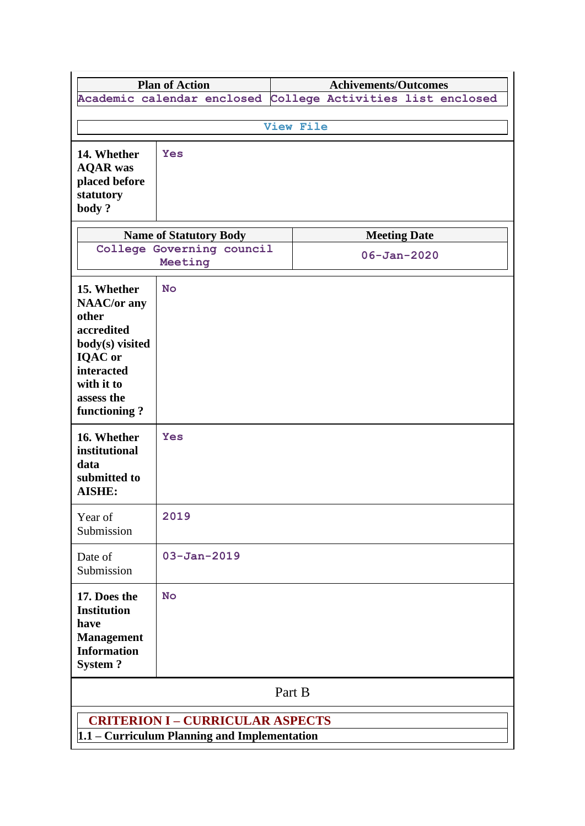|                                                                                                                                                         | <b>Plan of Action</b>                                                                   |                           |                  | <b>Achivements/Outcomes</b> |                                                             |  |  |  |  |  |
|---------------------------------------------------------------------------------------------------------------------------------------------------------|-----------------------------------------------------------------------------------------|---------------------------|------------------|-----------------------------|-------------------------------------------------------------|--|--|--|--|--|
|                                                                                                                                                         |                                                                                         |                           |                  |                             | Academic calendar enclosed College Activities list enclosed |  |  |  |  |  |
|                                                                                                                                                         |                                                                                         |                           |                  |                             |                                                             |  |  |  |  |  |
|                                                                                                                                                         |                                                                                         |                           | <b>View File</b> |                             |                                                             |  |  |  |  |  |
| 14. Whether<br><b>AQAR</b> was<br>placed before<br>statutory<br>body?                                                                                   | <b>Yes</b>                                                                              |                           |                  |                             |                                                             |  |  |  |  |  |
|                                                                                                                                                         | <b>Name of Statutory Body</b>                                                           |                           |                  | <b>Meeting Date</b>         |                                                             |  |  |  |  |  |
|                                                                                                                                                         | Meeting                                                                                 | College Governing council |                  | $06 - Jan - 2020$           |                                                             |  |  |  |  |  |
| 15. Whether<br><b>NAAC/or any</b><br>other<br>accredited<br>body(s) visited<br><b>IQAC</b> or<br>interacted<br>with it to<br>assess the<br>functioning? | <b>No</b>                                                                               |                           |                  |                             |                                                             |  |  |  |  |  |
| 16. Whether<br>institutional<br>data<br>submitted to<br><b>AISHE:</b>                                                                                   | <b>Yes</b>                                                                              |                           |                  |                             |                                                             |  |  |  |  |  |
| Year of<br>Submission                                                                                                                                   | 2019                                                                                    |                           |                  |                             |                                                             |  |  |  |  |  |
| Date of<br>Submission                                                                                                                                   | $03 - Jan - 2019$                                                                       |                           |                  |                             |                                                             |  |  |  |  |  |
| 17. Does the<br><b>Institution</b><br>have<br><b>Management</b><br><b>Information</b><br><b>System?</b>                                                 | <b>No</b>                                                                               |                           |                  |                             |                                                             |  |  |  |  |  |
|                                                                                                                                                         | Part B                                                                                  |                           |                  |                             |                                                             |  |  |  |  |  |
|                                                                                                                                                         | <b>CRITERION I - CURRICULAR ASPECTS</b><br>1.1 – Curriculum Planning and Implementation |                           |                  |                             |                                                             |  |  |  |  |  |

ı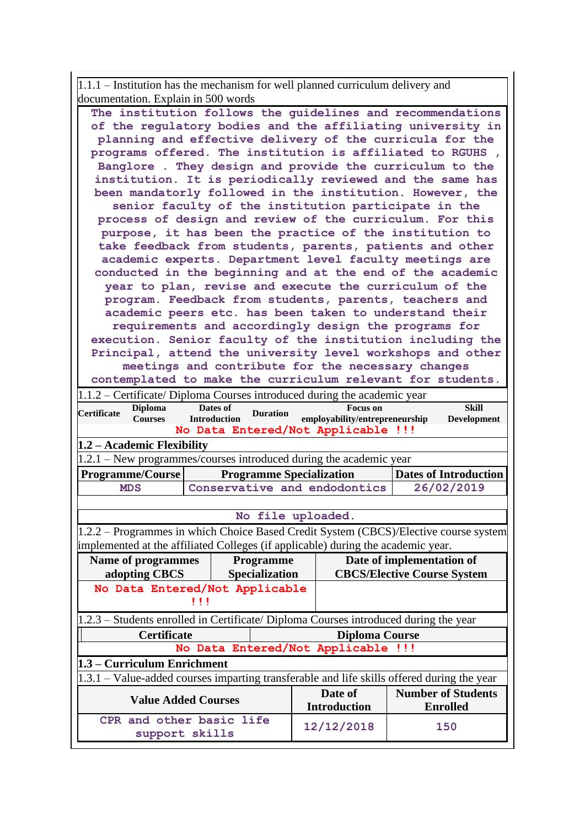1.1.1 – Institution has the mechanism for well planned curriculum delivery and documentation. Explain in 500 words

| The institution follows the guidelines and recommendations                                                                                                                       |  |  |  |  |  |  |  |  |  |
|----------------------------------------------------------------------------------------------------------------------------------------------------------------------------------|--|--|--|--|--|--|--|--|--|
| of the regulatory bodies and the affiliating university in                                                                                                                       |  |  |  |  |  |  |  |  |  |
| planning and effective delivery of the curricula for the                                                                                                                         |  |  |  |  |  |  |  |  |  |
| programs offered. The institution is affiliated to RGUHS,                                                                                                                        |  |  |  |  |  |  |  |  |  |
| Banglore . They design and provide the curriculum to the                                                                                                                         |  |  |  |  |  |  |  |  |  |
| institution. It is periodically reviewed and the same has                                                                                                                        |  |  |  |  |  |  |  |  |  |
| been mandatorly followed in the institution. However, the                                                                                                                        |  |  |  |  |  |  |  |  |  |
| senior faculty of the institution participate in the                                                                                                                             |  |  |  |  |  |  |  |  |  |
| process of design and review of the curriculum. For this                                                                                                                         |  |  |  |  |  |  |  |  |  |
| purpose, it has been the practice of the institution to                                                                                                                          |  |  |  |  |  |  |  |  |  |
| take feedback from students, parents, patients and other                                                                                                                         |  |  |  |  |  |  |  |  |  |
| academic experts. Department level faculty meetings are                                                                                                                          |  |  |  |  |  |  |  |  |  |
| conducted in the beginning and at the end of the academic                                                                                                                        |  |  |  |  |  |  |  |  |  |
| year to plan, revise and execute the curriculum of the                                                                                                                           |  |  |  |  |  |  |  |  |  |
| program. Feedback from students, parents, teachers and                                                                                                                           |  |  |  |  |  |  |  |  |  |
| academic peers etc. has been taken to understand their                                                                                                                           |  |  |  |  |  |  |  |  |  |
| requirements and accordingly design the programs for                                                                                                                             |  |  |  |  |  |  |  |  |  |
| execution. Senior faculty of the institution including the                                                                                                                       |  |  |  |  |  |  |  |  |  |
| Principal, attend the university level workshops and other                                                                                                                       |  |  |  |  |  |  |  |  |  |
| meetings and contribute for the necessary changes                                                                                                                                |  |  |  |  |  |  |  |  |  |
| contemplated to make the curriculum relevant for students.                                                                                                                       |  |  |  |  |  |  |  |  |  |
| $ 1.1.2 -$ Certificate/Diploma Courses introduced during the academic year<br><b>Skill</b>                                                                                       |  |  |  |  |  |  |  |  |  |
| Dates of<br><b>Focus</b> on<br><b>Diploma</b><br><b>Certificate</b><br><b>Duration</b><br>employability/entrepreneurship<br><b>Introduction</b><br><b>Courses</b><br>Development |  |  |  |  |  |  |  |  |  |
| No Data Entered/Not Applicable !!!                                                                                                                                               |  |  |  |  |  |  |  |  |  |
|                                                                                                                                                                                  |  |  |  |  |  |  |  |  |  |
| $1.2$ – Academic Flexibility                                                                                                                                                     |  |  |  |  |  |  |  |  |  |
| $1.2.1$ – New programmes/courses introduced during the academic year                                                                                                             |  |  |  |  |  |  |  |  |  |
| <b>Programme/Course</b><br><b>Programme Specialization</b><br><b>Dates of Introduction</b>                                                                                       |  |  |  |  |  |  |  |  |  |
| Conservative and endodontics<br>26/02/2019<br>MDS                                                                                                                                |  |  |  |  |  |  |  |  |  |
|                                                                                                                                                                                  |  |  |  |  |  |  |  |  |  |
| No file uploaded.                                                                                                                                                                |  |  |  |  |  |  |  |  |  |
| 1.2.2 – Programmes in which Choice Based Credit System (CBCS)/Elective course system                                                                                             |  |  |  |  |  |  |  |  |  |
| implemented at the affiliated Colleges (if applicable) during the academic year.                                                                                                 |  |  |  |  |  |  |  |  |  |
| Date of implementation of<br><b>Name of programmes</b><br>Programme                                                                                                              |  |  |  |  |  |  |  |  |  |
| adopting CBCS<br>Specialization<br><b>CBCS/Elective Course System</b>                                                                                                            |  |  |  |  |  |  |  |  |  |
| No Data Entered/Not Applicable                                                                                                                                                   |  |  |  |  |  |  |  |  |  |
| $\mathbf{1}$                                                                                                                                                                     |  |  |  |  |  |  |  |  |  |
|                                                                                                                                                                                  |  |  |  |  |  |  |  |  |  |
| $ 1.2.3 -$ Students enrolled in Certificate/Diploma Courses introduced during the year<br>Certificate                                                                            |  |  |  |  |  |  |  |  |  |
| <b>Diploma Course</b><br>No Data Entered/Not Applicable !!!                                                                                                                      |  |  |  |  |  |  |  |  |  |
| $1.3$ – Curriculum Enrichment                                                                                                                                                    |  |  |  |  |  |  |  |  |  |
| $1.3.1$ – Value-added courses imparting transferable and life skills offered during the year                                                                                     |  |  |  |  |  |  |  |  |  |
| Date of<br><b>Number of Students</b>                                                                                                                                             |  |  |  |  |  |  |  |  |  |
| <b>Value Added Courses</b><br><b>Introduction</b><br><b>Enrolled</b>                                                                                                             |  |  |  |  |  |  |  |  |  |
| CPR and other basic life<br>12/12/2018<br>150                                                                                                                                    |  |  |  |  |  |  |  |  |  |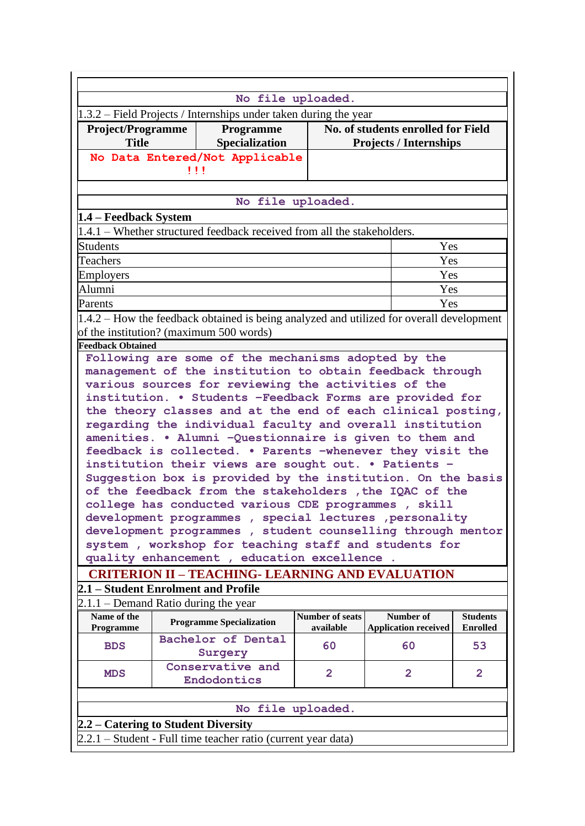| No file uploaded.                                                |  |                                                                                                                     |                                     |                                                                     |                                    |  |  |  |  |  |
|------------------------------------------------------------------|--|---------------------------------------------------------------------------------------------------------------------|-------------------------------------|---------------------------------------------------------------------|------------------------------------|--|--|--|--|--|
| 1.3.2 – Field Projects / Internships under taken during the year |  |                                                                                                                     |                                     |                                                                     |                                    |  |  |  |  |  |
| <b>Project/Programme</b><br><b>Title</b>                         |  | Programme<br>Specialization                                                                                         |                                     | No. of students enrolled for Field<br><b>Projects / Internships</b> |                                    |  |  |  |  |  |
|                                                                  |  | No Data Entered/Not Applicable                                                                                      |                                     |                                                                     |                                    |  |  |  |  |  |
| $\mathbf{1}$                                                     |  |                                                                                                                     |                                     |                                                                     |                                    |  |  |  |  |  |
|                                                                  |  |                                                                                                                     |                                     |                                                                     |                                    |  |  |  |  |  |
|                                                                  |  |                                                                                                                     | No file uploaded.                   |                                                                     |                                    |  |  |  |  |  |
| 1.4 – Feedback System                                            |  |                                                                                                                     |                                     |                                                                     |                                    |  |  |  |  |  |
|                                                                  |  | 1.4.1 – Whether structured feedback received from all the stakeholders.                                             |                                     |                                                                     |                                    |  |  |  |  |  |
| <b>Students</b>                                                  |  |                                                                                                                     |                                     | Yes                                                                 |                                    |  |  |  |  |  |
| Teachers                                                         |  |                                                                                                                     |                                     | Yes                                                                 |                                    |  |  |  |  |  |
| Employers                                                        |  |                                                                                                                     |                                     | Yes                                                                 |                                    |  |  |  |  |  |
| Alumni                                                           |  |                                                                                                                     |                                     | Yes                                                                 |                                    |  |  |  |  |  |
| Parents                                                          |  |                                                                                                                     |                                     | Yes                                                                 |                                    |  |  |  |  |  |
|                                                                  |  | 1.4.2 – How the feedback obtained is being analyzed and utilized for overall development                            |                                     |                                                                     |                                    |  |  |  |  |  |
| of the institution? (maximum 500 words)                          |  |                                                                                                                     |                                     |                                                                     |                                    |  |  |  |  |  |
| <b>Feedback Obtained</b>                                         |  |                                                                                                                     |                                     |                                                                     |                                    |  |  |  |  |  |
|                                                                  |  | Following are some of the mechanisms adopted by the                                                                 |                                     |                                                                     |                                    |  |  |  |  |  |
|                                                                  |  | management of the institution to obtain feedback through                                                            |                                     |                                                                     |                                    |  |  |  |  |  |
|                                                                  |  | various sources for reviewing the activities of the                                                                 |                                     |                                                                     |                                    |  |  |  |  |  |
|                                                                  |  | institution. . Students -Feedback Forms are provided for                                                            |                                     |                                                                     |                                    |  |  |  |  |  |
|                                                                  |  | the theory classes and at the end of each clinical posting,                                                         |                                     |                                                                     |                                    |  |  |  |  |  |
|                                                                  |  | regarding the individual faculty and overall institution<br>amenities. . Alumni -Questionnaire is given to them and |                                     |                                                                     |                                    |  |  |  |  |  |
|                                                                  |  | feedback is collected. . Parents -whenever they visit the                                                           |                                     |                                                                     |                                    |  |  |  |  |  |
|                                                                  |  | institution their views are sought out. . Patients -                                                                |                                     |                                                                     |                                    |  |  |  |  |  |
|                                                                  |  | Suggestion box is provided by the institution. On the basis                                                         |                                     |                                                                     |                                    |  |  |  |  |  |
|                                                                  |  | of the feedback from the stakeholders , the IQAC of the                                                             |                                     |                                                                     |                                    |  |  |  |  |  |
|                                                                  |  | college has conducted various CDE programmes, skill                                                                 |                                     |                                                                     |                                    |  |  |  |  |  |
|                                                                  |  | development programmes, special lectures, personality                                                               |                                     |                                                                     |                                    |  |  |  |  |  |
|                                                                  |  | development programmes, student counselling through mentor                                                          |                                     |                                                                     |                                    |  |  |  |  |  |
|                                                                  |  | system, workshop for teaching staff and students for                                                                |                                     |                                                                     |                                    |  |  |  |  |  |
|                                                                  |  | quality enhancement, education excellence.                                                                          |                                     |                                                                     |                                    |  |  |  |  |  |
|                                                                  |  | <b>CRITERION II - TEACHING- LEARNING AND EVALUATION</b>                                                             |                                     |                                                                     |                                    |  |  |  |  |  |
| 2.1 – Student Enrolment and Profile                              |  |                                                                                                                     |                                     |                                                                     |                                    |  |  |  |  |  |
| $2.1.1 -$ Demand Ratio during the year                           |  |                                                                                                                     |                                     |                                                                     |                                    |  |  |  |  |  |
| Name of the<br>Programme                                         |  | <b>Programme Specialization</b>                                                                                     | <b>Number of seats</b><br>available | Number of<br><b>Application received</b>                            | <b>Students</b><br><b>Enrolled</b> |  |  |  |  |  |
| <b>BDS</b>                                                       |  | Bachelor of Dental<br>Surgery                                                                                       | 60                                  | 60                                                                  | 53                                 |  |  |  |  |  |
| <b>MDS</b>                                                       |  | Conservative and<br>Endodontics                                                                                     | $\overline{2}$                      | $\overline{2}$                                                      | $\overline{2}$                     |  |  |  |  |  |
|                                                                  |  |                                                                                                                     |                                     |                                                                     |                                    |  |  |  |  |  |
|                                                                  |  |                                                                                                                     | No file uploaded.                   |                                                                     |                                    |  |  |  |  |  |
| 2.2 – Catering to Student Diversity                              |  |                                                                                                                     |                                     |                                                                     |                                    |  |  |  |  |  |
| 2.2.1 – Student - Full time teacher ratio (current year data)    |  |                                                                                                                     |                                     |                                                                     |                                    |  |  |  |  |  |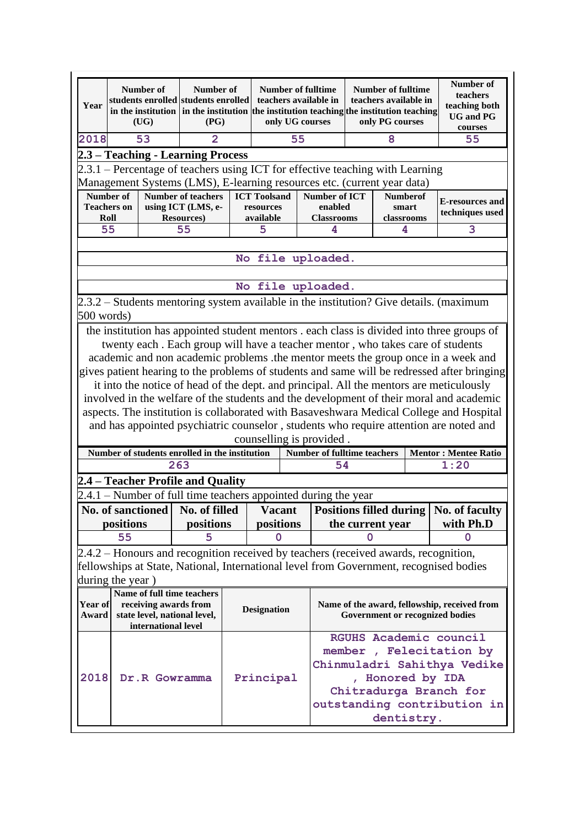| Year                                                                                                                                                     |                    | Number of<br>(UG)     | Number of<br>students enrolled students enrolled<br>in the institution in the institution<br>(PG) | <b>Number of fulltime</b><br>teachers available in<br>only UG courses |                     |                                                                                     | <b>Number of fulltime</b><br>teachers available in<br>the institution teaching the institution teaching<br>only PG courses |                 | Number of<br>teachers<br>teaching both<br><b>UG</b> and PG<br>courses |                                                                                             |
|----------------------------------------------------------------------------------------------------------------------------------------------------------|--------------------|-----------------------|---------------------------------------------------------------------------------------------------|-----------------------------------------------------------------------|---------------------|-------------------------------------------------------------------------------------|----------------------------------------------------------------------------------------------------------------------------|-----------------|-----------------------------------------------------------------------|---------------------------------------------------------------------------------------------|
| 2018                                                                                                                                                     | 53                 |                       | 2                                                                                                 | 55                                                                    |                     |                                                                                     |                                                                                                                            | 8               |                                                                       | 55                                                                                          |
|                                                                                                                                                          |                    |                       | 2.3 – Teaching - Learning Process                                                                 |                                                                       |                     |                                                                                     |                                                                                                                            |                 |                                                                       |                                                                                             |
|                                                                                                                                                          |                    |                       |                                                                                                   |                                                                       |                     |                                                                                     |                                                                                                                            |                 |                                                                       |                                                                                             |
| 2.3.1 – Percentage of teachers using ICT for effective teaching with Learning<br>Management Systems (LMS), E-learning resources etc. (current year data) |                    |                       |                                                                                                   |                                                                       |                     |                                                                                     |                                                                                                                            |                 |                                                                       |                                                                                             |
|                                                                                                                                                          | Number of          |                       | Number of teachers                                                                                |                                                                       | <b>ICT Toolsand</b> | <b>Number of ICT</b>                                                                |                                                                                                                            | <b>Numberof</b> |                                                                       |                                                                                             |
|                                                                                                                                                          | <b>Teachers on</b> |                       | using ICT (LMS, e-                                                                                |                                                                       | resources           | enabled                                                                             |                                                                                                                            | smart           |                                                                       | <b>E-resources and</b><br>techniques used                                                   |
|                                                                                                                                                          | Roll               |                       | <b>Resources</b> )                                                                                |                                                                       | available           | <b>Classrooms</b>                                                                   |                                                                                                                            | classrooms      |                                                                       |                                                                                             |
|                                                                                                                                                          | 55                 |                       | 55                                                                                                |                                                                       | 5                   | 4                                                                                   |                                                                                                                            | 4               |                                                                       | 3                                                                                           |
|                                                                                                                                                          |                    |                       |                                                                                                   |                                                                       |                     |                                                                                     |                                                                                                                            |                 |                                                                       |                                                                                             |
| No file uploaded.                                                                                                                                        |                    |                       |                                                                                                   |                                                                       |                     |                                                                                     |                                                                                                                            |                 |                                                                       |                                                                                             |
| file uploaded.<br>No                                                                                                                                     |                    |                       |                                                                                                   |                                                                       |                     |                                                                                     |                                                                                                                            |                 |                                                                       |                                                                                             |
|                                                                                                                                                          |                    |                       |                                                                                                   |                                                                       |                     |                                                                                     |                                                                                                                            |                 |                                                                       | 2.3.2 – Students mentoring system available in the institution? Give details. (maximum      |
| 500 words)                                                                                                                                               |                    |                       |                                                                                                   |                                                                       |                     |                                                                                     |                                                                                                                            |                 |                                                                       |                                                                                             |
|                                                                                                                                                          |                    |                       |                                                                                                   |                                                                       |                     |                                                                                     |                                                                                                                            |                 |                                                                       | the institution has appointed student mentors . each class is divided into three groups of  |
|                                                                                                                                                          |                    |                       |                                                                                                   |                                                                       |                     | twenty each. Each group will have a teacher mentor, who takes care of students      |                                                                                                                            |                 |                                                                       |                                                                                             |
|                                                                                                                                                          |                    |                       |                                                                                                   |                                                                       |                     |                                                                                     |                                                                                                                            |                 |                                                                       | academic and non academic problems .the mentor meets the group once in a week and           |
|                                                                                                                                                          |                    |                       |                                                                                                   |                                                                       |                     |                                                                                     |                                                                                                                            |                 |                                                                       | gives patient hearing to the problems of students and same will be redressed after bringing |
|                                                                                                                                                          |                    |                       |                                                                                                   |                                                                       |                     |                                                                                     |                                                                                                                            |                 |                                                                       | it into the notice of head of the dept. and principal. All the mentors are meticulously     |
|                                                                                                                                                          |                    |                       |                                                                                                   |                                                                       |                     |                                                                                     |                                                                                                                            |                 |                                                                       | involved in the welfare of the students and the development of their moral and academic     |
|                                                                                                                                                          |                    |                       |                                                                                                   |                                                                       |                     |                                                                                     |                                                                                                                            |                 |                                                                       | aspects. The institution is collaborated with Basaveshwara Medical College and Hospital     |
|                                                                                                                                                          |                    |                       |                                                                                                   |                                                                       |                     |                                                                                     |                                                                                                                            |                 |                                                                       | and has appointed psychiatric counselor, students who require attention are noted and       |
|                                                                                                                                                          |                    |                       |                                                                                                   |                                                                       |                     | counselling is provided.                                                            |                                                                                                                            |                 |                                                                       |                                                                                             |
|                                                                                                                                                          |                    |                       | Number of students enrolled in the institution                                                    |                                                                       |                     | Number of fulltime teachers                                                         |                                                                                                                            |                 |                                                                       | <b>Mentor: Mentee Ratio</b>                                                                 |
|                                                                                                                                                          |                    |                       | 263                                                                                               | 54                                                                    |                     |                                                                                     | 1:20                                                                                                                       |                 |                                                                       |                                                                                             |
|                                                                                                                                                          |                    |                       | 2.4 – Teacher Profile and Quality                                                                 |                                                                       |                     |                                                                                     |                                                                                                                            |                 |                                                                       |                                                                                             |
|                                                                                                                                                          |                    |                       |                                                                                                   |                                                                       |                     | $2.4.1$ – Number of full time teachers appointed during the year                    |                                                                                                                            |                 |                                                                       |                                                                                             |
|                                                                                                                                                          |                    |                       | No. of sanctioned No. of filled                                                                   |                                                                       | <b>Vacant</b>       |                                                                                     |                                                                                                                            |                 |                                                                       | Positions filled during   No. of faculty                                                    |
|                                                                                                                                                          | positions          |                       | positions                                                                                         |                                                                       | positions           |                                                                                     | the current year                                                                                                           |                 | with Ph.D                                                             |                                                                                             |
|                                                                                                                                                          | 55                 |                       | 5                                                                                                 |                                                                       | 0                   |                                                                                     | 0                                                                                                                          |                 |                                                                       | 0                                                                                           |
|                                                                                                                                                          |                    |                       |                                                                                                   |                                                                       |                     | 2.4.2 – Honours and recognition received by teachers (received awards, recognition, |                                                                                                                            |                 |                                                                       |                                                                                             |
|                                                                                                                                                          |                    |                       |                                                                                                   |                                                                       |                     |                                                                                     |                                                                                                                            |                 |                                                                       | fellowships at State, National, International level from Government, recognised bodies      |
|                                                                                                                                                          | during the year)   |                       |                                                                                                   |                                                                       |                     |                                                                                     |                                                                                                                            |                 |                                                                       |                                                                                             |
|                                                                                                                                                          |                    |                       | Name of full time teachers                                                                        |                                                                       |                     |                                                                                     |                                                                                                                            |                 |                                                                       |                                                                                             |
| Year of                                                                                                                                                  |                    | receiving awards from |                                                                                                   |                                                                       | <b>Designation</b>  |                                                                                     |                                                                                                                            |                 |                                                                       | Name of the award, fellowship, received from                                                |
| Award                                                                                                                                                    |                    |                       | state level, national level,                                                                      |                                                                       |                     |                                                                                     |                                                                                                                            |                 |                                                                       | <b>Government or recognized bodies</b>                                                      |
|                                                                                                                                                          |                    | international level   |                                                                                                   |                                                                       |                     |                                                                                     |                                                                                                                            |                 |                                                                       | RGUHS Academic council                                                                      |
|                                                                                                                                                          |                    |                       |                                                                                                   |                                                                       |                     |                                                                                     |                                                                                                                            |                 |                                                                       | member, Felecitation by                                                                     |
|                                                                                                                                                          |                    |                       |                                                                                                   |                                                                       |                     |                                                                                     |                                                                                                                            |                 |                                                                       |                                                                                             |
| 2018                                                                                                                                                     |                    | Dr.R Gowramma         |                                                                                                   |                                                                       | Principal           |                                                                                     | Chinmuladri Sahithya Vedike<br>, Honored by IDA                                                                            |                 |                                                                       |                                                                                             |
|                                                                                                                                                          |                    |                       |                                                                                                   |                                                                       |                     |                                                                                     |                                                                                                                            |                 |                                                                       | Chitradurga Branch for                                                                      |
|                                                                                                                                                          |                    |                       |                                                                                                   |                                                                       |                     |                                                                                     |                                                                                                                            |                 |                                                                       |                                                                                             |
|                                                                                                                                                          |                    |                       |                                                                                                   |                                                                       |                     |                                                                                     | outstanding contribution in<br>dentistry.                                                                                  |                 |                                                                       |                                                                                             |
|                                                                                                                                                          |                    |                       |                                                                                                   |                                                                       |                     |                                                                                     |                                                                                                                            |                 |                                                                       |                                                                                             |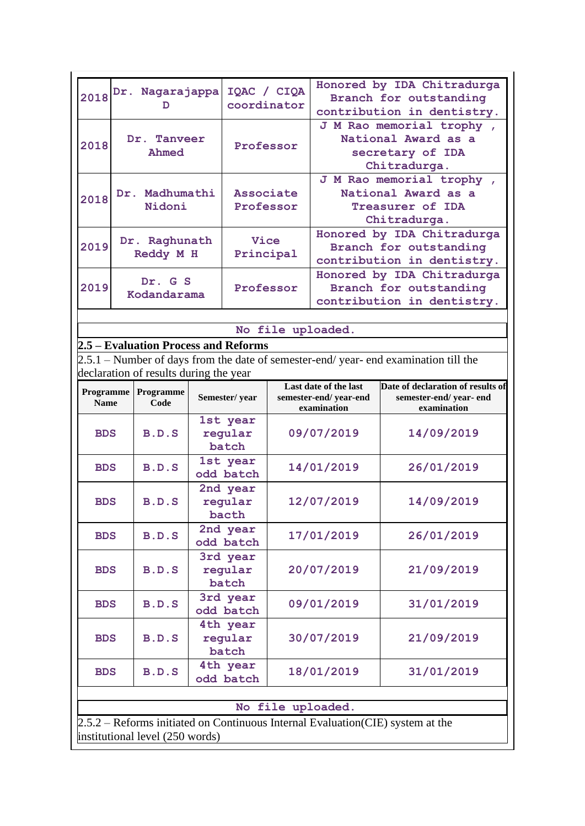| 2018                                                                                           |                          | Dr. Nagarajappa<br>ח            |                              | IQAC / CIQA<br>coordinator                                    |                                                                                     | Honored by IDA Chitradurga<br>Branch for outstanding<br>contribution in dentistry.  |                                                                                     |  |  |
|------------------------------------------------------------------------------------------------|--------------------------|---------------------------------|------------------------------|---------------------------------------------------------------|-------------------------------------------------------------------------------------|-------------------------------------------------------------------------------------|-------------------------------------------------------------------------------------|--|--|
| 2018                                                                                           | Dr. Tanveer<br>Ahmed     |                                 | Professor                    |                                                               | J M Rao memorial trophy,<br>National Award as a<br>secretary of IDA<br>Chitradurga. |                                                                                     |                                                                                     |  |  |
| 2018                                                                                           | Dr. Madhumathi<br>Nidoni |                                 |                              | Associate<br>Professor                                        |                                                                                     | J M Rao memorial trophy,<br>National Award as a<br>Treasurer of IDA<br>Chitradurga. |                                                                                     |  |  |
| 2019                                                                                           |                          | Dr. Raghunath<br>Reddy M H      |                              | Vice<br>Principal                                             |                                                                                     | Honored by IDA Chitradurga<br>Branch for outstanding<br>contribution in dentistry.  |                                                                                     |  |  |
| 2019                                                                                           | Dr. G S<br>Kodandarama   |                                 |                              | Professor                                                     |                                                                                     |                                                                                     | Honored by IDA Chitradurga<br>Branch for outstanding<br>contribution in dentistry.  |  |  |
| file uploaded.<br><b>No</b><br>2.5 – Evaluation Process and Reforms                            |                          |                                 |                              |                                                               |                                                                                     |                                                                                     |                                                                                     |  |  |
|                                                                                                |                          |                                 |                              |                                                               |                                                                                     |                                                                                     | 2.5.1 – Number of days from the date of semester-end/year- end examination till the |  |  |
| declaration of results during the year<br><b>Programme</b><br>Programme<br><b>Name</b><br>Code |                          |                                 | Semester/year                | Last date of the last<br>semester-end/year-end<br>examination |                                                                                     | Date of declaration of results of<br>semester-end/year-end<br>examination           |                                                                                     |  |  |
| <b>BDS</b>                                                                                     |                          | B.D.S                           |                              | 1st year<br>regular<br>batch                                  |                                                                                     | 09/07/2019                                                                          | 14/09/2019                                                                          |  |  |
| <b>BDS</b>                                                                                     |                          | B.D.S                           |                              | 1st year<br>odd batch                                         |                                                                                     | 14/01/2019                                                                          | 26/01/2019                                                                          |  |  |
| <b>BDS</b>                                                                                     |                          | B.D.S                           |                              | 2nd year<br>regular<br>bacth                                  |                                                                                     | 12/07/2019                                                                          | 14/09/2019                                                                          |  |  |
| <b>BDS</b>                                                                                     |                          | B.D.S                           |                              | 2nd year<br>odd batch                                         |                                                                                     | 17/01/2019                                                                          | 26/01/2019                                                                          |  |  |
| B.D.S<br><b>BDS</b>                                                                            |                          |                                 | 3rd year<br>regular<br>batch |                                                               | 20/07/2019                                                                          | 21/09/2019                                                                          |                                                                                     |  |  |
| <b>BDS</b>                                                                                     |                          | B.D.S                           |                              | 3rd year<br>odd batch                                         |                                                                                     | 09/01/2019                                                                          | 31/01/2019                                                                          |  |  |
| <b>BDS</b>                                                                                     |                          | B.D.S                           |                              | 4th year<br>regular<br>batch                                  |                                                                                     | 30/07/2019                                                                          | 21/09/2019                                                                          |  |  |
| <b>BDS</b>                                                                                     |                          | B.D.S                           |                              | 4th year<br>odd batch                                         |                                                                                     | 18/01/2019                                                                          | 31/01/2019                                                                          |  |  |
|                                                                                                |                          |                                 |                              |                                                               |                                                                                     | No file uploaded.                                                                   |                                                                                     |  |  |
|                                                                                                |                          | institutional level (250 words) |                              |                                                               |                                                                                     |                                                                                     | 2.5.2 – Reforms initiated on Continuous Internal Evaluation (CIE) system at the     |  |  |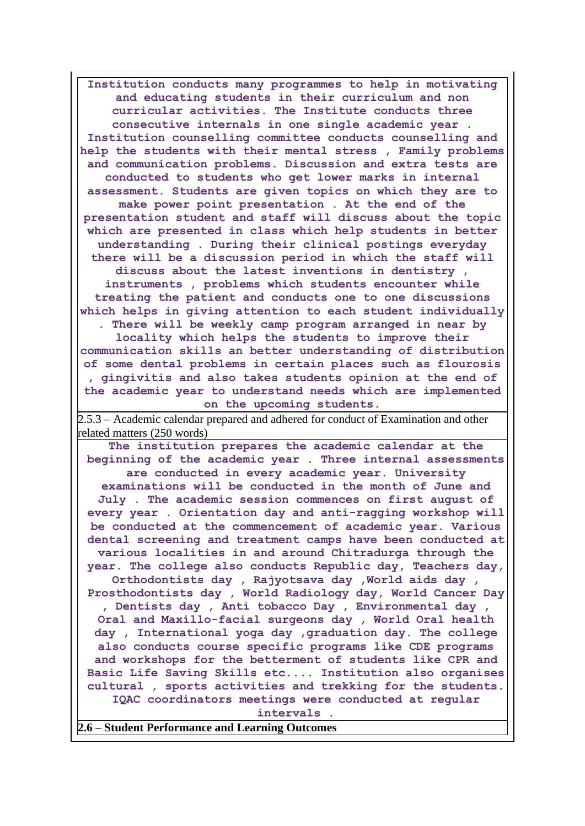**Institution conducts many programmes to help in motivating and educating students in their curriculum and non curricular activities. The Institute conducts three consecutive internals in one single academic year . Institution counselling committee conducts counselling and help the students with their mental stress , Family problems and communication problems. Discussion and extra tests are conducted to students who get lower marks in internal assessment. Students are given topics on which they are to make power point presentation . At the end of the presentation student and staff will discuss about the topic which are presented in class which help students in better understanding . During their clinical postings everyday there will be a discussion period in which the staff will discuss about the latest inventions in dentistry , instruments , problems which students encounter while treating the patient and conducts one to one discussions which helps in giving attention to each student individually . There will be weekly camp program arranged in near by locality which helps the students to improve their communication skills an better understanding of distribution of some dental problems in certain places such as flourosis , gingivitis and also takes students opinion at the end of the academic year to understand needs which are implemented on the upcoming students.** 2.5.3 – Academic calendar prepared and adhered for conduct of Examination and other related matters (250 words) **The institution prepares the academic calendar at the beginning of the academic year . Three internal assessments are conducted in every academic year. University examinations will be conducted in the month of June and July . The academic session commences on first august of every year . Orientation day and anti-ragging workshop will be conducted at the commencement of academic year. Various dental screening and treatment camps have been conducted at various localities in and around Chitradurga through the year. The college also conducts Republic day, Teachers day,**  Orthodontists day, Rajyotsava day, World aids day, **Prosthodontists day , World Radiology day, World Cancer Day , Dentists day , Anti tobacco Day , Environmental day , Oral and Maxillo-facial surgeons day , World Oral health day , International yoga day ,graduation day. The college also conducts course specific programs like CDE programs and workshops for the betterment of students like CPR and Basic Life Saving Skills etc.... Institution also organises cultural , sports activities and trekking for the students. IQAC coordinators meetings were conducted at regular intervals . 2.6 – Student Performance and Learning Outcomes**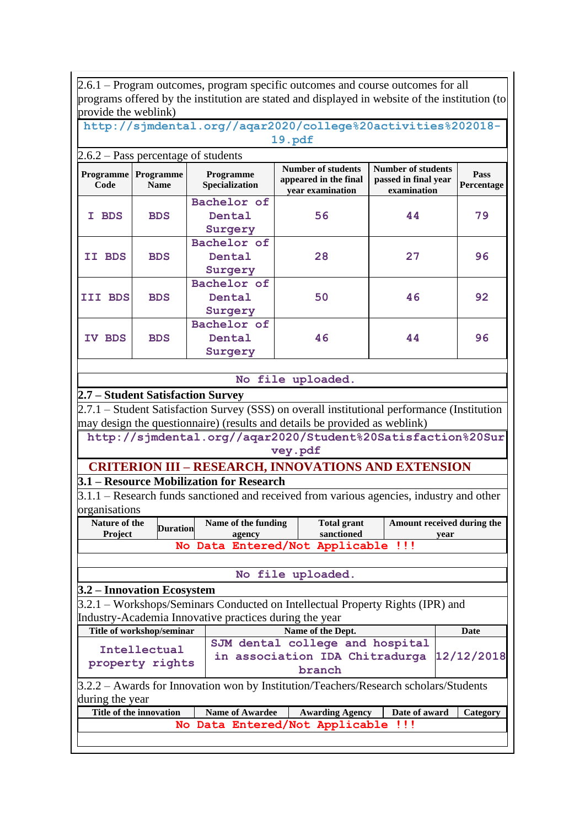2.6.1 – Program outcomes, program specific outcomes and course outcomes for all programs offered by the institution are stated and displayed in website of the institution (to provide the weblink)

**[http://sjmdental.org//aqar2020/college%20activities%202018-](http://sjmdental.org/aqar2020/college%20activities%202018-19.pdf) [19.pdf](http://sjmdental.org/aqar2020/college%20activities%202018-19.pdf)**

|         | $2.6.2$ – Pass percentage of students       |                                    |                                                                        |                                                                  |                    |  |  |  |  |  |
|---------|---------------------------------------------|------------------------------------|------------------------------------------------------------------------|------------------------------------------------------------------|--------------------|--|--|--|--|--|
| Code    | <b>Programme</b>   Programme<br><b>Name</b> | <b>Programme</b><br>Specialization | <b>Number of students</b><br>appeared in the final<br>vear examination | <b>Number of students</b><br>passed in final year<br>examination | Pass<br>Percentage |  |  |  |  |  |
| I BDS   | <b>BDS</b>                                  | Bachelor of<br>Dental<br>Surgery   | 56                                                                     | 44                                                               | 79                 |  |  |  |  |  |
| II BDS  | <b>BDS</b>                                  | Bachelor of<br>Dental<br>Surgery   | 28                                                                     | 27                                                               | 96                 |  |  |  |  |  |
| III BDS | <b>BDS</b>                                  | Bachelor of<br>Dental<br>Surgery   | 50                                                                     | 46                                                               | 92                 |  |  |  |  |  |
| IV BDS  | <b>BDS</b>                                  | Bachelor of<br>Dental<br>Surgery   | 46                                                                     | 44                                                               | 96                 |  |  |  |  |  |

#### **No file uploaded.**

#### **2.7 – Student Satisfaction Survey**

2.7.1 – Student Satisfaction Survey (SSS) on overall institutional performance (Institution may design the questionnaire) (results and details be provided as weblink)

**http://sjmdental.org//aqar2020/Student%20Satisfaction%20Sur vey.pdf**

## **CRITERION III – RESEARCH, INNOVATIONS AND EXTENSION**

**3.1 – Resource Mobilization for Research**

3.1.1 – Research funds sanctioned and received from various agencies, industry and other organisations

| Nature of the  | <b>Duration</b> | Name of the funding                | <b>Total grant</b> | Amount received during the |
|----------------|-----------------|------------------------------------|--------------------|----------------------------|
| <b>Project</b> |                 | agency                             | sanctioned         | vear                       |
|                |                 | No Data Entered/Not Applicable !!! |                    |                            |

#### **No file uploaded.**

#### **3.2 – Innovation Ecosystem**

3.2.1 – Workshops/Seminars Conducted on Intellectual Property Rights (IPR) and Industry-Academia Innovative practices during the year

| Title of workshop/seminar                                                                    | Name of the Dept.<br>Date                                                                 |  |  |          |  |  |  |  |  |
|----------------------------------------------------------------------------------------------|-------------------------------------------------------------------------------------------|--|--|----------|--|--|--|--|--|
| Intellectual<br>property rights                                                              | SJM dental college and hospital<br>in association IDA Chitradurga<br>12/12/2018<br>branch |  |  |          |  |  |  |  |  |
| $3.2.2$ – Awards for Innovation won by Institution/Teachers/Research scholars/Students       |                                                                                           |  |  |          |  |  |  |  |  |
| during the year                                                                              |                                                                                           |  |  |          |  |  |  |  |  |
| Title of the innovation<br>Date of award<br><b>Name of Awardee</b><br><b>Awarding Agency</b> |                                                                                           |  |  | Category |  |  |  |  |  |
| No Data Entered/Not Applicable<br>-111                                                       |                                                                                           |  |  |          |  |  |  |  |  |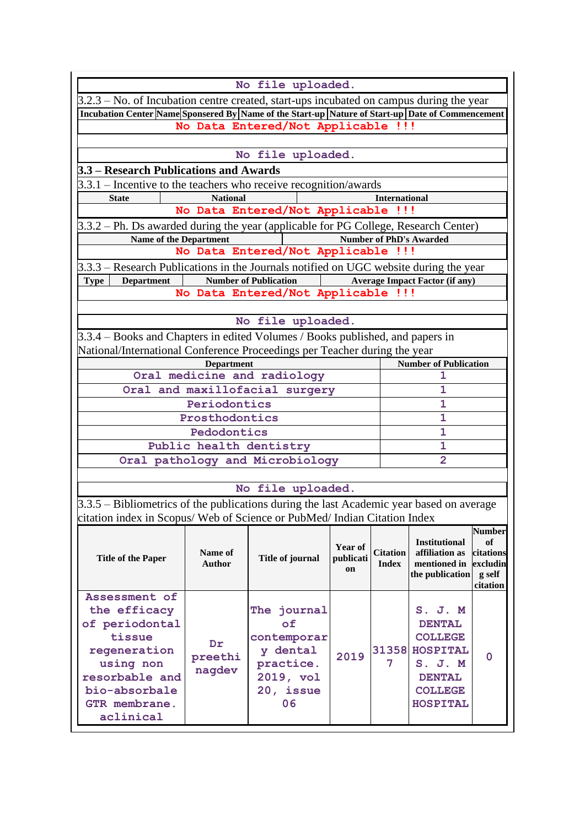|                                                                                                                                                                         |                 | No file uploaded.                  |           |                      |                                        |                 |  |  |
|-------------------------------------------------------------------------------------------------------------------------------------------------------------------------|-----------------|------------------------------------|-----------|----------------------|----------------------------------------|-----------------|--|--|
| $3.2.3$ – No. of Incubation centre created, start-ups incubated on campus during the year                                                                               |                 |                                    |           |                      |                                        |                 |  |  |
| Incubation Center Name Sponsered By Name of the Start-up Nature of Start-up Date of Commencement                                                                        |                 |                                    |           |                      |                                        |                 |  |  |
|                                                                                                                                                                         |                 | No Data Entered/Not Applicable !!! |           |                      |                                        |                 |  |  |
|                                                                                                                                                                         |                 |                                    |           |                      |                                        |                 |  |  |
|                                                                                                                                                                         |                 | No file uploaded.                  |           |                      |                                        |                 |  |  |
| 3.3 - Research Publications and Awards                                                                                                                                  |                 |                                    |           |                      |                                        |                 |  |  |
| $3.3.1$ – Incentive to the teachers who receive recognition/awards                                                                                                      |                 |                                    |           |                      |                                        |                 |  |  |
| <b>State</b>                                                                                                                                                            | <b>National</b> |                                    |           | <b>International</b> |                                        |                 |  |  |
|                                                                                                                                                                         |                 | No Data Entered/Not Applicable !!! |           |                      |                                        |                 |  |  |
| 3.3.2 – Ph. Ds awarded during the year (applicable for PG College, Research Center)                                                                                     |                 |                                    |           |                      |                                        |                 |  |  |
| Name of the Department                                                                                                                                                  |                 |                                    |           |                      | <b>Number of PhD's Awarded</b>         |                 |  |  |
|                                                                                                                                                                         |                 | No Data Entered/Not Applicable !!! |           |                      |                                        |                 |  |  |
| $3.3.3$ – Research Publications in the Journals notified on UGC website during the year                                                                                 |                 | <b>Number of Publication</b>       |           |                      |                                        |                 |  |  |
| <b>Department</b><br><b>Type</b>                                                                                                                                        |                 | No Data Entered/Not Applicable !!! |           |                      | <b>Average Impact Factor (if any)</b>  |                 |  |  |
|                                                                                                                                                                         |                 |                                    |           |                      |                                        |                 |  |  |
|                                                                                                                                                                         |                 | No file uploaded.                  |           |                      |                                        |                 |  |  |
| 3.3.4 – Books and Chapters in edited Volumes / Books published, and papers in                                                                                           |                 |                                    |           |                      |                                        |                 |  |  |
|                                                                                                                                                                         |                 |                                    |           |                      |                                        |                 |  |  |
| National/International Conference Proceedings per Teacher during the year<br><b>Number of Publication</b><br><b>Department</b>                                          |                 |                                    |           |                      |                                        |                 |  |  |
| Oral medicine and radiology<br>1                                                                                                                                        |                 |                                    |           |                      |                                        |                 |  |  |
| Oral and maxillofacial surgery<br>1                                                                                                                                     |                 |                                    |           |                      |                                        |                 |  |  |
| Periodontics<br>1                                                                                                                                                       |                 |                                    |           |                      |                                        |                 |  |  |
| Prosthodontics<br>1                                                                                                                                                     |                 |                                    |           |                      |                                        |                 |  |  |
|                                                                                                                                                                         | Pedodontics     |                                    |           |                      | $\mathbf{1}$                           |                 |  |  |
|                                                                                                                                                                         |                 | Public health dentistry            |           |                      | $\mathbf{1}$                           |                 |  |  |
|                                                                                                                                                                         |                 | Oral pathology and Microbiology    |           |                      | $\overline{2}$                         |                 |  |  |
|                                                                                                                                                                         |                 |                                    |           |                      |                                        |                 |  |  |
|                                                                                                                                                                         |                 | No file uploaded.                  |           |                      |                                        |                 |  |  |
| $3.3.5$ – Bibliometrics of the publications during the last Academic year based on average<br>citation index in Scopus/ Web of Science or PubMed/ Indian Citation Index |                 |                                    |           |                      |                                        |                 |  |  |
|                                                                                                                                                                         |                 |                                    |           |                      |                                        | <b>Number</b>   |  |  |
|                                                                                                                                                                         | Name of         |                                    | Year of   | <b>Citation</b>      | <b>Institutional</b><br>affiliation as | оf<br>citations |  |  |
| <b>Title of the Paper</b>                                                                                                                                               | Author          | <b>Title of journal</b>            | publicati | <b>Index</b>         | mentioned in                           | excludin        |  |  |
|                                                                                                                                                                         |                 |                                    | on        |                      | the publication                        | g self          |  |  |
|                                                                                                                                                                         |                 |                                    |           |                      |                                        | citation        |  |  |
| Assessment of                                                                                                                                                           |                 |                                    |           |                      |                                        |                 |  |  |
| the efficacy<br>of periodontal                                                                                                                                          |                 | The journal<br>of                  |           |                      | $S.$ J. $M$<br><b>DENTAL</b>           |                 |  |  |
| tissue                                                                                                                                                                  |                 | contemporar                        |           |                      | <b>COLLEGE</b>                         |                 |  |  |
| regeneration                                                                                                                                                            | Dr              | y dental                           |           | 31358                | <b>HOSPITAL</b>                        |                 |  |  |
| using non                                                                                                                                                               | preethi         | practice.                          | 2019      | 7                    | S. J. M                                | 0               |  |  |
| resorbable and                                                                                                                                                          | nagdev          | 2019, vol                          |           |                      | <b>DENTAL</b>                          |                 |  |  |
| bio-absorbale                                                                                                                                                           |                 | 20, issue                          |           |                      | <b>COLLEGE</b>                         |                 |  |  |
| GTR membrane.                                                                                                                                                           |                 | 06                                 |           |                      | <b>HOSPITAL</b>                        |                 |  |  |
| aclinical                                                                                                                                                               |                 |                                    |           |                      |                                        |                 |  |  |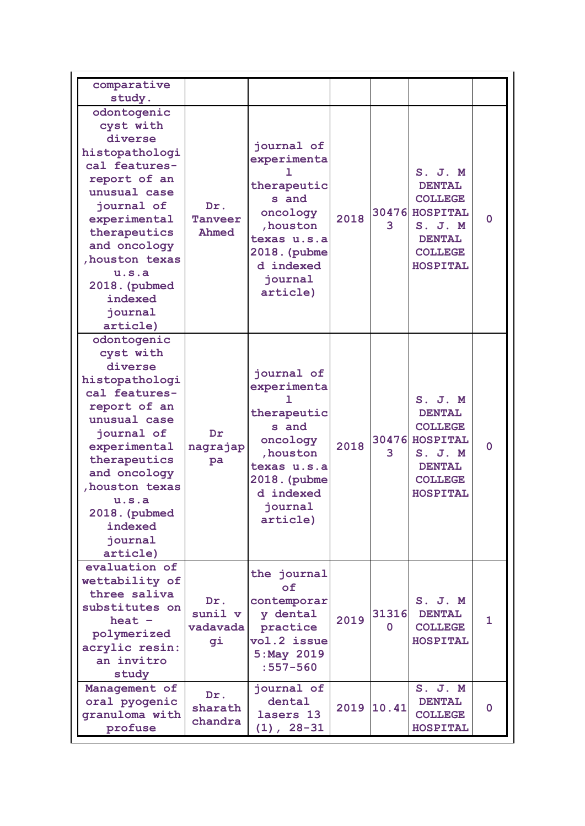| comparative<br>study.                                                                                                                                                                                                                               |                                  |                                                                                                                                                     |      |                   |                                                                                                                                |          |
|-----------------------------------------------------------------------------------------------------------------------------------------------------------------------------------------------------------------------------------------------------|----------------------------------|-----------------------------------------------------------------------------------------------------------------------------------------------------|------|-------------------|--------------------------------------------------------------------------------------------------------------------------------|----------|
| odontogenic<br>cyst with<br>diverse<br>histopathologi<br>cal features-<br>report of an<br>unusual case<br>journal of<br>experimental<br>therapeutics<br>and oncology<br>, houston texas<br>u.s.a<br>2018. (pubmed<br>indexed<br>journal<br>article) | Dr.<br><b>Tanveer</b><br>Ahmed   | journal of<br>experimenta<br>Т.<br>therapeutic<br>s and<br>oncology<br>, houston<br>texas u.s.a<br>2018. (pubme<br>d indexed<br>iournal<br>article) | 2018 | 3                 | S. J. M<br><b>DENTAL</b><br><b>COLLEGE</b><br>30476 HOSPITAL<br>S. J. M<br><b>DENTAL</b><br><b>COLLEGE</b><br><b>HOSPITAL</b>  | 0        |
| odontogenic<br>cyst with<br>diverse<br>histopathologi<br>cal features-<br>report of an<br>unusual case<br>journal of<br>experimental<br>therapeutics<br>and oncology<br>, houston texas<br>u.s.a<br>2018. (pubmed<br>indexed<br>journal<br>article) | Dr<br>nagrajap<br>pa             | journal of<br>experimenta<br>ı<br>therapeutic<br>s and<br>oncology<br>, houston<br>texas u.s.a<br>2018. (pubme<br>d indexed<br>journal<br>article)  | 2018 | 30476<br>3        | S. J. M<br><b>DENTAL</b><br><b>COLLEGE</b><br><b>HOSPITAL</b><br>S. J. M<br><b>DENTAL</b><br><b>COLLEGE</b><br><b>HOSPITAL</b> | $\Omega$ |
| evaluation of<br>wettability of<br>three saliva<br>substitutes on<br>heat $-$<br>polymerized<br>acrylic resin:<br>an invitro<br>study                                                                                                               | Dr.<br>sunil v<br>vadavada<br>gi | the journal<br>of<br>contemporar<br>y dental<br>practice<br>vol.2 issue<br>5: May 2019<br>$:557 - 560$                                              | 2019 | 31316<br>$\Omega$ | S. J. M<br><b>DENTAL</b><br><b>COLLEGE</b><br><b>HOSPITAL</b>                                                                  | 1.       |
| Management of<br>oral pyogenic<br>granuloma with<br>profuse                                                                                                                                                                                         | Dr.<br>sharath<br>chandra        | journal of<br>dental<br>lasers 13<br>$(1), 28-31$                                                                                                   | 2019 | 10.41             | S. J. M<br><b>DENTAL</b><br><b>COLLEGE</b><br>HOSPITAL                                                                         | $\Omega$ |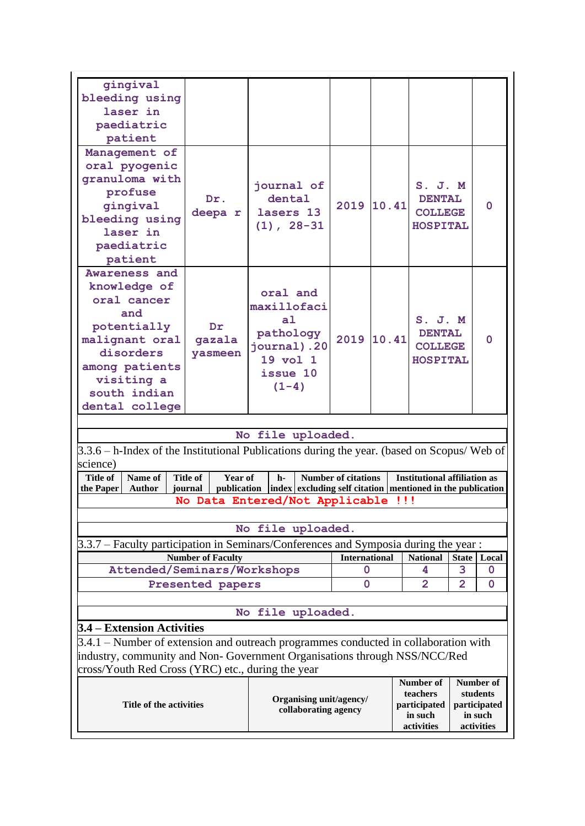| gingival<br>bleeding using<br>laser in<br>paediatric<br>patient                                                                                                     |                                                                                     |                                                                                                          |                      |                                                                                                                                                      |       |                                                                                                                    |              |          |
|---------------------------------------------------------------------------------------------------------------------------------------------------------------------|-------------------------------------------------------------------------------------|----------------------------------------------------------------------------------------------------------|----------------------|------------------------------------------------------------------------------------------------------------------------------------------------------|-------|--------------------------------------------------------------------------------------------------------------------|--------------|----------|
| Management of<br>oral pyogenic<br>granuloma with<br>profuse<br>gingival<br>bleeding using<br>laser in<br>paediatric<br>patient                                      | Dr.<br>deepa r                                                                      | journal of<br>dental<br>lasers 13<br>$(1), 28-31$                                                        |                      | 2019                                                                                                                                                 | 10.41 | $S.$ $J.$ $M$<br><b>DENTAL</b><br><b>COLLEGE</b><br>HOSPITAL                                                       |              | $\Omega$ |
| Awareness and<br>knowledge of<br>oral cancer<br>and<br>potentially<br>malignant oral<br>disorders<br>among patients<br>visiting a<br>south indian<br>dental college | $\mathbf{D}\mathbf{r}$<br>gazala<br>yasmeen                                         | oral and<br>maxillofaci<br>a <sub>1</sub><br>pathology<br>journal).20<br>19 vol 1<br>issue 10<br>$(1-4)$ |                      | 2019                                                                                                                                                 | 10.41 | $S.$ $J.$ $M$<br><b>DENTAL</b><br><b>COLLEGE</b><br>HOSPITAL                                                       |              | $\Omega$ |
|                                                                                                                                                                     |                                                                                     |                                                                                                          |                      |                                                                                                                                                      |       |                                                                                                                    |              |          |
|                                                                                                                                                                     |                                                                                     | No file uploaded.                                                                                        |                      |                                                                                                                                                      |       |                                                                                                                    |              |          |
| 3.3.6 – h-Index of the Institutional Publications during the year. (based on Scopus/ Web of                                                                         |                                                                                     |                                                                                                          |                      |                                                                                                                                                      |       |                                                                                                                    |              |          |
| science)                                                                                                                                                            |                                                                                     |                                                                                                          |                      |                                                                                                                                                      |       |                                                                                                                    |              |          |
| Name of<br><b>Title of</b><br><b>Author</b><br>the Paper                                                                                                            | <b>Title of</b><br>Year of<br>journal                                               | h-                                                                                                       |                      | <b>Number of citations</b>                                                                                                                           |       | <b>Institutional affiliation as</b><br>publication  index   excluding self citation   mentioned in the publication |              |          |
|                                                                                                                                                                     | No Data Entered/Not Applicable !!!                                                  |                                                                                                          |                      |                                                                                                                                                      |       |                                                                                                                    |              |          |
|                                                                                                                                                                     |                                                                                     |                                                                                                          |                      |                                                                                                                                                      |       |                                                                                                                    |              |          |
|                                                                                                                                                                     |                                                                                     | No file uploaded.                                                                                        |                      |                                                                                                                                                      |       |                                                                                                                    |              |          |
|                                                                                                                                                                     |                                                                                     |                                                                                                          |                      |                                                                                                                                                      |       |                                                                                                                    |              |          |
| 3.3.7 – Faculty participation in Seminars/Conferences and Symposia during the year :                                                                                |                                                                                     |                                                                                                          |                      |                                                                                                                                                      |       |                                                                                                                    |              |          |
|                                                                                                                                                                     | <b>Number of Faculty</b>                                                            |                                                                                                          |                      | <b>International</b>                                                                                                                                 |       | <b>National</b>                                                                                                    | <b>State</b> | Local    |
| Attended/Seminars/Workshops                                                                                                                                         |                                                                                     |                                                                                                          |                      | 0                                                                                                                                                    |       | 4                                                                                                                  | 3            | 0        |
|                                                                                                                                                                     | Presented papers                                                                    |                                                                                                          |                      | 0                                                                                                                                                    |       | 2                                                                                                                  | 2            | 0        |
| No file uploaded.                                                                                                                                                   |                                                                                     |                                                                                                          |                      |                                                                                                                                                      |       |                                                                                                                    |              |          |
| 3.4 – Extension Activities                                                                                                                                          |                                                                                     |                                                                                                          |                      |                                                                                                                                                      |       |                                                                                                                    |              |          |
|                                                                                                                                                                     | 3.4.1 – Number of extension and outreach programmes conducted in collaboration with |                                                                                                          |                      |                                                                                                                                                      |       |                                                                                                                    |              |          |
|                                                                                                                                                                     | industry, community and Non-Government Organisations through NSS/NCC/Red            |                                                                                                          |                      |                                                                                                                                                      |       |                                                                                                                    |              |          |
| cross/Youth Red Cross (YRC) etc., during the year                                                                                                                   |                                                                                     |                                                                                                          |                      |                                                                                                                                                      |       |                                                                                                                    |              |          |
| Title of the activities                                                                                                                                             |                                                                                     |                                                                                                          | collaborating agency | Number of<br><b>Number of</b><br>teachers<br>students<br>Organising unit/agency/<br>participated<br>participated<br>in such<br>in such<br>activities |       |                                                                                                                    | activities   |          |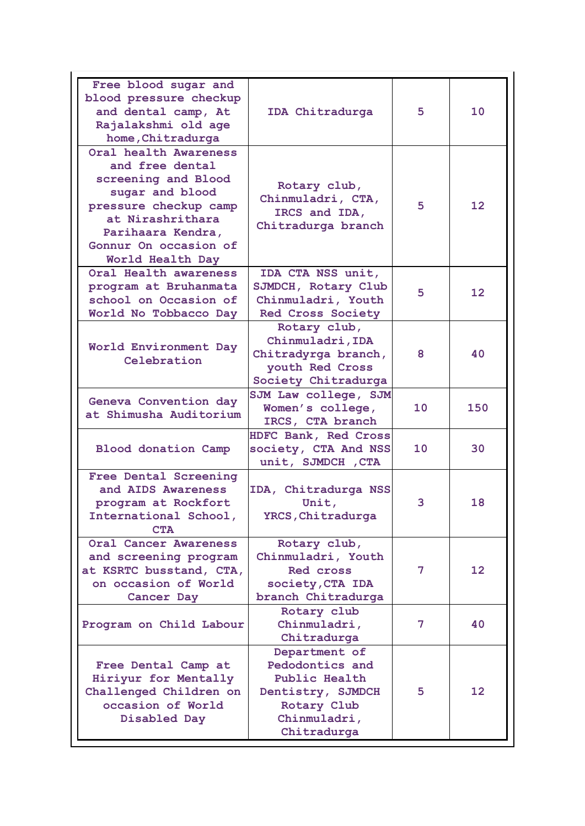| Free blood sugar and<br>blood pressure checkup<br>and dental camp, At<br>Rajalakshmi old age<br>home, Chitradurga                                                                                 | IDA Chitradurga                                                                                                      | 5               | 10                |
|---------------------------------------------------------------------------------------------------------------------------------------------------------------------------------------------------|----------------------------------------------------------------------------------------------------------------------|-----------------|-------------------|
| Oral health Awareness<br>and free dental<br>screening and Blood<br>sugar and blood<br>pressure checkup camp<br>at Nirashrithara<br>Parihaara Kendra,<br>Gonnur On occasion of<br>World Health Day | Rotary club,<br>Chinmuladri, CTA,<br>IRCS and IDA,<br>Chitradurga branch                                             | 5               | $12 \overline{ }$ |
| Oral Health awareness<br>program at Bruhanmata<br>school on Occasion of<br>World No Tobbacco Day                                                                                                  | IDA CTA NSS unit,<br>SJMDCH, Rotary Club<br>Chinmuladri, Youth<br><b>Red Cross Society</b>                           | 5               | $12 \overline{ }$ |
| World Environment Day<br>Celebration                                                                                                                                                              | Rotary club,<br>Chinmuladri, IDA<br>Chitradyrga branch,<br>youth Red Cross<br>Society Chitradurga                    | 8               | 40                |
| Geneva Convention day<br>at Shimusha Auditorium                                                                                                                                                   | SJM Law college, SJM<br>Women's college,<br>IRCS, CTA branch                                                         | 10 <sup>°</sup> | 150               |
| <b>Blood donation Camp</b>                                                                                                                                                                        | HDFC Bank, Red Cross<br>society, CTA And NSS<br>unit, SJMDCH, CTA                                                    | 10              | 30                |
| Free Dental Screening<br>and AIDS Awareness<br>program at Rockfort<br>International School,<br><b>CTA</b>                                                                                         | IDA, Chitradurga NSS<br>Unit,<br>YRCS, Chitradurga                                                                   | 3               | 18                |
| Oral Cancer Awareness<br>and screening program<br>at KSRTC busstand, CTA,<br>on occasion of World<br>Cancer Day                                                                                   | Rotary club,<br>Chinmuladri, Youth<br>Red cross<br>society, CTA IDA<br>branch Chitradurga                            | 7               | 12 <sub>2</sub>   |
| Program on Child Labour                                                                                                                                                                           | Rotary club<br>Chinmuladri,<br>Chitradurga                                                                           | 7               | 40                |
| Free Dental Camp at<br>Hiriyur for Mentally<br>Challenged Children on<br>occasion of World<br>Disabled Day                                                                                        | Department of<br>Pedodontics and<br>Public Health<br>Dentistry, SJMDCH<br>Rotary Club<br>Chinmuladri,<br>Chitradurga | 5               | 12 <sup>2</sup>   |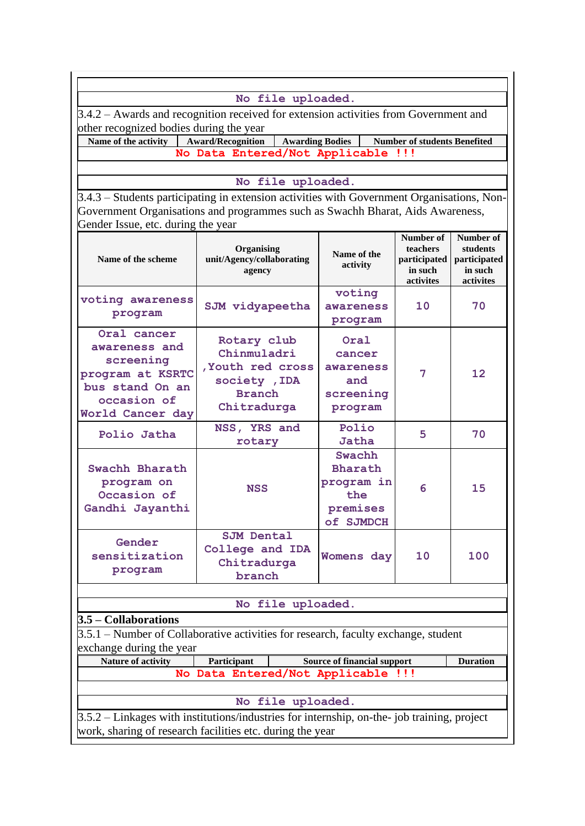#### **No file uploaded.**

3.4.2 – Awards and recognition received for extension activities from Government and other recognized bodies during the year

**Name of the activity Award/Recognition Awarding Bodies Number of students Benefited No Data Entered/Not Applicable !!!**

**No file uploaded.**

3.4.3 – Students participating in extension activities with Government Organisations, Non-Government Organisations and programmes such as Swachh Bharat, Aids Awareness, Gender Issue, etc. during the year

| voting awareness<br>program                                                                                         | SJM vidyapeetha                                                                                                   | voting<br>awareness                                                    |     |                 |
|---------------------------------------------------------------------------------------------------------------------|-------------------------------------------------------------------------------------------------------------------|------------------------------------------------------------------------|-----|-----------------|
|                                                                                                                     |                                                                                                                   | program                                                                | 10  | 70              |
| Oral cancer<br>awareness and<br>screening<br>program at KSRTC<br>bus stand On an<br>occasion of<br>World Cancer day | Rotary club<br>Chinmuladri<br>, Youth red cross<br>society , IDA<br><b>Branch</b><br>Chitradurga                  | Oral<br>cancer<br>awareness<br>and<br>screening<br>program             | 7   | 12              |
| Polio Jatha                                                                                                         | NSS, YRS and<br>rotary                                                                                            | Polio<br>Jatha                                                         | 5   | 70              |
| Swachh Bharath<br>program on<br>Occasion of<br>Gandhi Jayanthi                                                      | <b>NSS</b>                                                                                                        | Swachh<br><b>Bharath</b><br>program in<br>the<br>premises<br>of SJMDCH | 6   | 15              |
| Gender<br>sensitization<br>program                                                                                  | Womens day                                                                                                        | 10                                                                     | 100 |                 |
|                                                                                                                     | No file uploaded.                                                                                                 |                                                                        |     |                 |
| $3.5 - Collaborations$                                                                                              |                                                                                                                   |                                                                        |     |                 |
| exchange during the year                                                                                            | 3.5.1 – Number of Collaborative activities for research, faculty exchange, student                                |                                                                        |     |                 |
| <b>Nature of activity</b>                                                                                           | Participant                                                                                                       | <b>Source of financial support</b>                                     |     | <b>Duration</b> |
|                                                                                                                     | No Data Entered/Not Applicable !!!                                                                                |                                                                        |     |                 |
|                                                                                                                     | No file uploaded.<br>$3.5.2$ – Linkages with institutions/industries for internship, on-the-job training, project |                                                                        |     |                 |

work, sharing of research facilities etc. during the year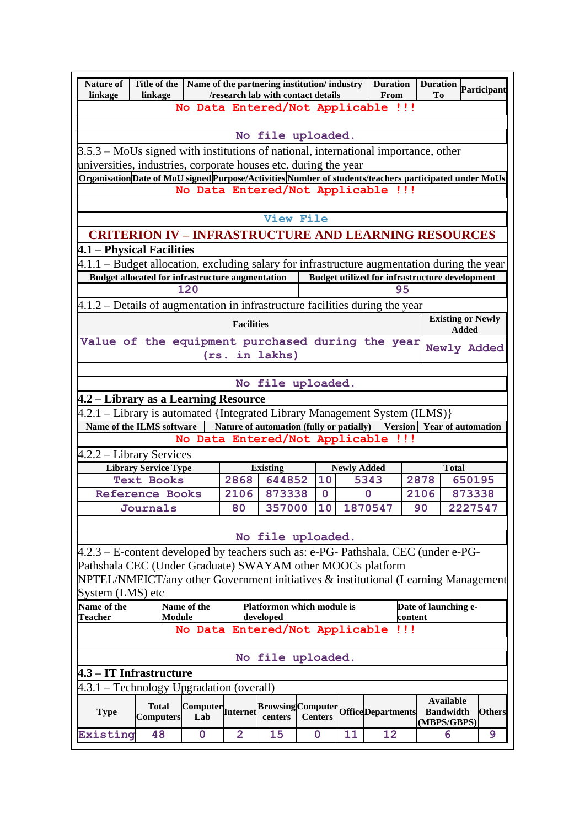| <b>Nature of</b><br>linkage                                                                                                                             | Title of the   Name of the partnering institution/industry  <br>linkage                                |                          |                | /research lab with contact details  |                |             |                    | <b>Duration</b><br>From                                     | Duration Participant<br>Tо                   |              |                          |
|---------------------------------------------------------------------------------------------------------------------------------------------------------|--------------------------------------------------------------------------------------------------------|--------------------------|----------------|-------------------------------------|----------------|-------------|--------------------|-------------------------------------------------------------|----------------------------------------------|--------------|--------------------------|
|                                                                                                                                                         |                                                                                                        |                          |                |                                     |                |             |                    | No Data Entered/Not Applicable !!!                          |                                              |              |                          |
|                                                                                                                                                         |                                                                                                        |                          |                |                                     |                |             |                    |                                                             |                                              |              |                          |
|                                                                                                                                                         |                                                                                                        |                          |                | No file uploaded.                   |                |             |                    |                                                             |                                              |              |                          |
|                                                                                                                                                         |                                                                                                        |                          |                |                                     |                |             |                    |                                                             |                                              |              |                          |
| $3.5.3$ – MoUs signed with institutions of national, international importance, other<br>universities, industries, corporate houses etc. during the year |                                                                                                        |                          |                |                                     |                |             |                    |                                                             |                                              |              |                          |
|                                                                                                                                                         | Organisation Date of MoU signed Purpose/Activities Number of students/teachers participated under MoUs |                          |                |                                     |                |             |                    |                                                             |                                              |              |                          |
|                                                                                                                                                         |                                                                                                        |                          |                |                                     |                |             |                    | No Data Entered/Not Applicable !!!                          |                                              |              |                          |
|                                                                                                                                                         |                                                                                                        |                          |                |                                     |                |             |                    |                                                             |                                              |              |                          |
|                                                                                                                                                         |                                                                                                        |                          |                | <b>View File</b>                    |                |             |                    |                                                             |                                              |              |                          |
|                                                                                                                                                         |                                                                                                        |                          |                |                                     |                |             |                    | <b>CRITERION IV - INFRASTRUCTURE AND LEARNING RESOURCES</b> |                                              |              |                          |
| 4.1 – Physical Facilities                                                                                                                               |                                                                                                        |                          |                |                                     |                |             |                    |                                                             |                                              |              |                          |
|                                                                                                                                                         | $4.1.1$ – Budget allocation, excluding salary for infrastructure augmentation during the year          |                          |                |                                     |                |             |                    |                                                             |                                              |              |                          |
|                                                                                                                                                         | <b>Budget allocated for infrastructure augmentation</b>                                                |                          |                |                                     |                |             |                    | <b>Budget utilized for infrastructure development</b>       |                                              |              |                          |
|                                                                                                                                                         |                                                                                                        | 120                      |                |                                     |                |             |                    | 95                                                          |                                              |              |                          |
| $4.1.2$ – Details of augmentation in infrastructure facilities during the year                                                                          |                                                                                                        |                          |                |                                     |                |             |                    |                                                             |                                              |              |                          |
|                                                                                                                                                         |                                                                                                        |                          |                |                                     |                |             |                    |                                                             |                                              |              | <b>Existing or Newly</b> |
| <b>Facilities</b>                                                                                                                                       |                                                                                                        |                          |                |                                     | Added          |             |                    |                                                             |                                              |              |                          |
| Value of the equipment purchased during the year                                                                                                        |                                                                                                        |                          |                |                                     |                |             |                    |                                                             |                                              |              |                          |
| Newly Added<br>(rs. in lakhs)                                                                                                                           |                                                                                                        |                          |                |                                     |                |             |                    |                                                             |                                              |              |                          |
|                                                                                                                                                         |                                                                                                        |                          |                |                                     |                |             |                    |                                                             |                                              |              |                          |
|                                                                                                                                                         |                                                                                                        |                          |                | No file uploaded.                   |                |             |                    |                                                             |                                              |              |                          |
|                                                                                                                                                         |                                                                                                        |                          |                |                                     |                |             |                    |                                                             |                                              |              |                          |
| 4.2 – Library as a Learning Resource<br>4.2.1 – Library is automated {Integrated Library Management System (ILMS)}                                      |                                                                                                        |                          |                |                                     |                |             |                    |                                                             |                                              |              |                          |
| Name of the ILMS software<br>Nature of automation (fully or patially)<br>Version Year of automation                                                     |                                                                                                        |                          |                |                                     |                |             |                    |                                                             |                                              |              |                          |
|                                                                                                                                                         | No Data Entered/Not Applicable !!!                                                                     |                          |                |                                     |                |             |                    |                                                             |                                              |              |                          |
| 4.2.2 – Library Services                                                                                                                                |                                                                                                        |                          |                |                                     |                |             |                    |                                                             |                                              |              |                          |
|                                                                                                                                                         | <b>Library Service Type</b>                                                                            |                          |                | <b>Existing</b>                     |                |             | <b>Newly Added</b> |                                                             |                                              | <b>Total</b> |                          |
|                                                                                                                                                         | <b>Text Books</b>                                                                                      |                          | 2868           | 644852                              |                | 10          |                    | 5343                                                        | 2878                                         | 650195       |                          |
|                                                                                                                                                         | <b>Reference Books</b>                                                                                 |                          | 2106           | 873338                              |                | $\mathbf 0$ |                    | 0                                                           | 2106                                         | 873338       |                          |
|                                                                                                                                                         | Journals                                                                                               |                          | 80             | 357000                              |                | 10          |                    | 1870547                                                     | 90                                           | 2227547      |                          |
|                                                                                                                                                         |                                                                                                        |                          |                |                                     |                |             |                    |                                                             |                                              |              |                          |
|                                                                                                                                                         |                                                                                                        |                          |                | No file uploaded.                   |                |             |                    |                                                             |                                              |              |                          |
|                                                                                                                                                         |                                                                                                        |                          |                |                                     |                |             |                    |                                                             |                                              |              |                          |
| 4.2.3 – E-content developed by teachers such as: e-PG- Pathshala, CEC (under e-PG-                                                                      |                                                                                                        |                          |                |                                     |                |             |                    |                                                             |                                              |              |                          |
| Pathshala CEC (Under Graduate) SWAYAM other MOOCs platform                                                                                              |                                                                                                        |                          |                |                                     |                |             |                    |                                                             |                                              |              |                          |
| NPTEL/NMEICT/any other Government initiatives & institutional (Learning Management                                                                      |                                                                                                        |                          |                |                                     |                |             |                    |                                                             |                                              |              |                          |
|                                                                                                                                                         | System (LMS) etc                                                                                       |                          |                |                                     |                |             |                    |                                                             |                                              |              |                          |
| Name of the<br>Name of the<br>Platformon which module is<br>Date of launching e-<br>Module<br>developed<br><b>Teacher</b><br>content                    |                                                                                                        |                          |                |                                     |                |             |                    |                                                             |                                              |              |                          |
| No Data Entered/Not Applicable<br>!!!                                                                                                                   |                                                                                                        |                          |                |                                     |                |             |                    |                                                             |                                              |              |                          |
|                                                                                                                                                         |                                                                                                        |                          |                |                                     |                |             |                    |                                                             |                                              |              |                          |
| No file uploaded.                                                                                                                                       |                                                                                                        |                          |                |                                     |                |             |                    |                                                             |                                              |              |                          |
| 4.3 – IT Infrastructure                                                                                                                                 |                                                                                                        |                          |                |                                     |                |             |                    |                                                             |                                              |              |                          |
|                                                                                                                                                         |                                                                                                        |                          |                |                                     |                |             |                    |                                                             |                                              |              |                          |
| 4.3.1 – Technology Upgradation (overall)                                                                                                                |                                                                                                        |                          |                |                                     |                |             |                    |                                                             |                                              |              |                          |
| <b>Type</b>                                                                                                                                             | <b>Total</b><br><b>Computers</b>                                                                       | Computer Internet<br>Lab |                | <b>Browsing</b> Computer<br>centers | <b>Centers</b> |             |                    | <b>OfficeDepartments</b>                                    | Available<br><b>Bandwidth</b><br>(MBPS/GBPS) |              | <b>Others</b>            |
| Existing                                                                                                                                                | 48                                                                                                     | $\mathbf 0$              | $\overline{2}$ | 15                                  | $\mathbf{0}$   |             | 11                 | 12                                                          | 6                                            |              | 9                        |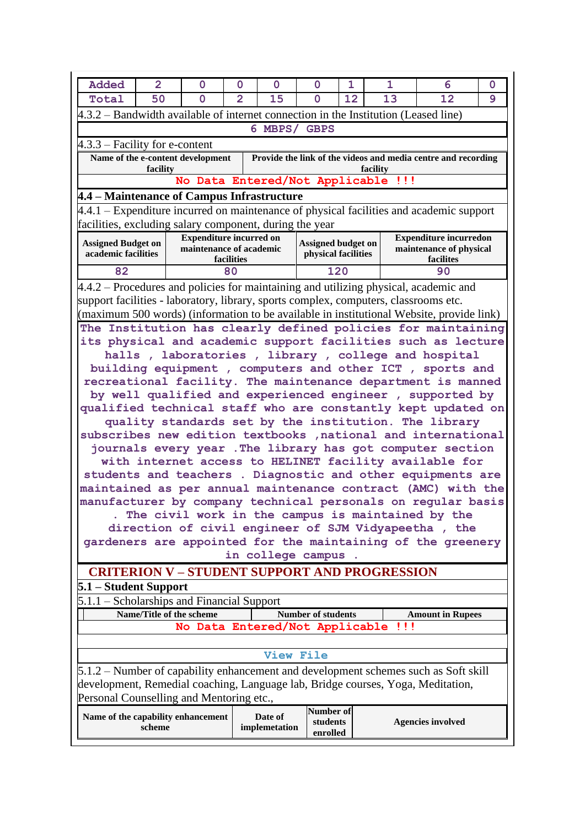| Added                                                                                                                                                                  | $\overline{2}$                                                                                                     | 0                                  | 0              | 0                        | 0                                         | 1  | 1        | 6                                                                                         | 0 |
|------------------------------------------------------------------------------------------------------------------------------------------------------------------------|--------------------------------------------------------------------------------------------------------------------|------------------------------------|----------------|--------------------------|-------------------------------------------|----|----------|-------------------------------------------------------------------------------------------|---|
| Total                                                                                                                                                                  | 50                                                                                                                 | $\mathbf 0$                        | $\overline{2}$ | 15                       | $\Omega$                                  | 12 | 13       | 12                                                                                        | 9 |
| 4.3.2 – Bandwidth available of internet connection in the Institution (Leased line)                                                                                    |                                                                                                                    |                                    |                |                          |                                           |    |          |                                                                                           |   |
| 6 MBPS/ GBPS                                                                                                                                                           |                                                                                                                    |                                    |                |                          |                                           |    |          |                                                                                           |   |
| $4.3.3$ – Facility for e-content                                                                                                                                       |                                                                                                                    |                                    |                |                          |                                           |    |          |                                                                                           |   |
|                                                                                                                                                                        | facility                                                                                                           | Name of the e-content development  |                |                          |                                           |    | facility | Provide the link of the videos and media centre and recording                             |   |
|                                                                                                                                                                        |                                                                                                                    | No Data Entered/Not Applicable !!! |                |                          |                                           |    |          |                                                                                           |   |
| 4.4 – Maintenance of Campus Infrastructure                                                                                                                             |                                                                                                                    |                                    |                |                          |                                           |    |          |                                                                                           |   |
|                                                                                                                                                                        |                                                                                                                    |                                    |                |                          |                                           |    |          | $4.4.1$ – Expenditure incurred on maintenance of physical facilities and academic support |   |
| facilities, excluding salary component, during the year                                                                                                                |                                                                                                                    |                                    |                |                          |                                           |    |          |                                                                                           |   |
|                                                                                                                                                                        |                                                                                                                    | <b>Expenditure incurred on</b>     |                |                          |                                           |    |          | <b>Expenditure incurredon</b>                                                             |   |
| <b>Assigned Budget on</b><br>academic facilities                                                                                                                       |                                                                                                                    | maintenance of academic            | facilities     |                          | Assigned budget on<br>physical facilities |    |          | maintenance of physical<br>facilites                                                      |   |
| 82                                                                                                                                                                     |                                                                                                                    |                                    | 80             |                          | 120                                       |    |          | 90                                                                                        |   |
|                                                                                                                                                                        |                                                                                                                    |                                    |                |                          |                                           |    |          | $4.4.2$ – Procedures and policies for maintaining and utilizing physical, academic and    |   |
| support facilities - laboratory, library, sports complex, computers, classrooms etc.                                                                                   |                                                                                                                    |                                    |                |                          |                                           |    |          |                                                                                           |   |
|                                                                                                                                                                        |                                                                                                                    |                                    |                |                          |                                           |    |          | (maximum 500 words) (information to be available in institutional Website, provide link)  |   |
|                                                                                                                                                                        |                                                                                                                    |                                    |                |                          |                                           |    |          | The Institution has clearly defined policies for maintaining                              |   |
|                                                                                                                                                                        |                                                                                                                    |                                    |                |                          |                                           |    |          |                                                                                           |   |
|                                                                                                                                                                        | its physical and academic support facilities such as lecture<br>halls, laboratories, library, college and hospital |                                    |                |                          |                                           |    |          |                                                                                           |   |
| building equipment, computers and other ICT, sports and                                                                                                                |                                                                                                                    |                                    |                |                          |                                           |    |          |                                                                                           |   |
| recreational facility. The maintenance department is manned                                                                                                            |                                                                                                                    |                                    |                |                          |                                           |    |          |                                                                                           |   |
|                                                                                                                                                                        | by well qualified and experienced engineer, supported by                                                           |                                    |                |                          |                                           |    |          |                                                                                           |   |
| qualified technical staff who are constantly kept updated on                                                                                                           |                                                                                                                    |                                    |                |                          |                                           |    |          |                                                                                           |   |
| quality standards set by the institution. The library                                                                                                                  |                                                                                                                    |                                    |                |                          |                                           |    |          |                                                                                           |   |
| subscribes new edition textbooks , national and international                                                                                                          |                                                                                                                    |                                    |                |                          |                                           |    |          |                                                                                           |   |
| journals every year . The library has got computer section                                                                                                             |                                                                                                                    |                                    |                |                          |                                           |    |          |                                                                                           |   |
|                                                                                                                                                                        |                                                                                                                    |                                    |                |                          |                                           |    |          | with internet access to HELINET facility available for                                    |   |
|                                                                                                                                                                        |                                                                                                                    |                                    |                |                          |                                           |    |          | students and teachers . Diagnostic and other equipments are                               |   |
|                                                                                                                                                                        |                                                                                                                    |                                    |                |                          |                                           |    |          | maintained as per annual maintenance contract (AMC) with the                              |   |
|                                                                                                                                                                        |                                                                                                                    |                                    |                |                          |                                           |    |          | manufacturer by company technical personals on regular basis                              |   |
|                                                                                                                                                                        |                                                                                                                    |                                    |                |                          |                                           |    |          | . The civil work in the campus is maintained by the                                       |   |
|                                                                                                                                                                        |                                                                                                                    |                                    |                |                          |                                           |    |          | direction of civil engineer of SJM Vidyapeetha, the                                       |   |
|                                                                                                                                                                        |                                                                                                                    |                                    |                |                          |                                           |    |          | gardeners are appointed for the maintaining of the greenery                               |   |
|                                                                                                                                                                        |                                                                                                                    |                                    |                |                          | in college campus                         |    |          |                                                                                           |   |
| <b>CRITERION V - STUDENT SUPPORT AND PROGRESSION</b>                                                                                                                   |                                                                                                                    |                                    |                |                          |                                           |    |          |                                                                                           |   |
| 5.1 – Student Support                                                                                                                                                  |                                                                                                                    |                                    |                |                          |                                           |    |          |                                                                                           |   |
| $5.1.1$ – Scholarships and Financial Support                                                                                                                           |                                                                                                                    |                                    |                |                          |                                           |    |          |                                                                                           |   |
|                                                                                                                                                                        |                                                                                                                    | Name/Title of the scheme           |                |                          | <b>Number of students</b>                 |    |          | <b>Amount in Rupees</b>                                                                   |   |
| No Data Entered/Not Applicable<br>!!!                                                                                                                                  |                                                                                                                    |                                    |                |                          |                                           |    |          |                                                                                           |   |
|                                                                                                                                                                        |                                                                                                                    |                                    |                |                          |                                           |    |          |                                                                                           |   |
|                                                                                                                                                                        |                                                                                                                    |                                    |                | View File                |                                           |    |          |                                                                                           |   |
|                                                                                                                                                                        |                                                                                                                    |                                    |                |                          |                                           |    |          |                                                                                           |   |
| 5.1.2 – Number of capability enhancement and development schemes such as Soft skill<br>development, Remedial coaching, Language lab, Bridge courses, Yoga, Meditation, |                                                                                                                    |                                    |                |                          |                                           |    |          |                                                                                           |   |
| Personal Counselling and Mentoring etc.,                                                                                                                               |                                                                                                                    |                                    |                |                          |                                           |    |          |                                                                                           |   |
| Name of the capability enhancement                                                                                                                                     | scheme                                                                                                             |                                    |                | Date of<br>implemetation | Number of<br>students<br>enrolled         |    |          | <b>Agencies involved</b>                                                                  |   |
|                                                                                                                                                                        |                                                                                                                    |                                    |                |                          |                                           |    |          |                                                                                           |   |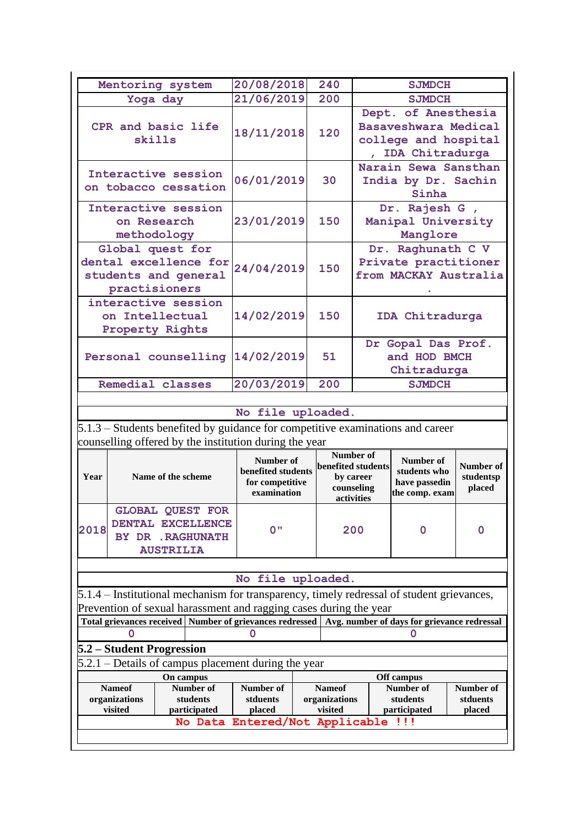|                      | Mentoring system                                                               | 20/08/2018                     |           | 240        |                                 | <b>SJMDCH</b>                               |           |  |
|----------------------|--------------------------------------------------------------------------------|--------------------------------|-----------|------------|---------------------------------|---------------------------------------------|-----------|--|
|                      |                                                                                | 21/06/2019                     |           | 200        |                                 | <b>SJMDCH</b>                               |           |  |
|                      | Yoga day                                                                       |                                |           |            |                                 |                                             |           |  |
|                      | CPR and basic life                                                             |                                |           |            |                                 | Dept. of Anesthesia<br>Basaveshwara Medical |           |  |
|                      | skills                                                                         | 18/11/2018                     |           | 120        |                                 | college and hospital                        |           |  |
|                      |                                                                                |                                |           |            |                                 | , IDA Chitradurga                           |           |  |
|                      |                                                                                |                                |           |            |                                 | Narain Sewa Sansthan                        |           |  |
|                      | Interactive session                                                            | 06/01/2019                     |           | 30         |                                 | India by Dr. Sachin                         |           |  |
|                      | on tobacco cessation                                                           |                                |           |            |                                 | Sinha                                       |           |  |
|                      | Interactive session                                                            |                                |           |            |                                 | Dr. Rajesh G,                               |           |  |
|                      | on Research                                                                    | 23/01/2019                     |           | 150        |                                 | Manipal University                          |           |  |
|                      | methodology                                                                    |                                |           |            |                                 | Manglore                                    |           |  |
|                      | Global quest for                                                               |                                |           |            |                                 | Dr. Raghunath C V                           |           |  |
|                      | dental excellence for                                                          |                                |           |            |                                 | Private practitioner                        |           |  |
| students and general |                                                                                | 24/04/2019                     |           | 150        |                                 | from MACKAY Australia                       |           |  |
|                      | practisioners                                                                  |                                |           |            |                                 |                                             |           |  |
|                      | interactive session                                                            |                                |           |            |                                 |                                             |           |  |
| on Intellectual      |                                                                                | 14/02/2019                     |           | 150        |                                 | IDA Chitradurga                             |           |  |
|                      | <b>Property Rights</b>                                                         |                                |           |            |                                 |                                             |           |  |
|                      |                                                                                |                                |           |            |                                 | Dr Gopal Das Prof.                          |           |  |
|                      | Personal counselling                                                           | 14/02/2019                     |           | 51         |                                 | and HOD BMCH                                |           |  |
|                      |                                                                                |                                |           |            | Chitradurga                     |                                             |           |  |
|                      | Remedial classes                                                               | 20/03/2019                     |           | 200        | <b>SJMDCH</b>                   |                                             |           |  |
|                      |                                                                                |                                |           |            |                                 |                                             |           |  |
|                      |                                                                                | No file uploaded.              |           |            |                                 |                                             |           |  |
|                      | 5.1.3 – Students benefited by guidance for competitive examinations and career |                                |           |            |                                 |                                             |           |  |
|                      | counselling offered by the institution during the year                         |                                |           |            |                                 |                                             |           |  |
|                      |                                                                                | Number of                      |           |            | Number of<br>benefited students | Number of                                   | Number of |  |
| Year                 | benefited students<br>Name of the scheme                                       |                                | by career |            | students who                    | studentsp                                   |           |  |
|                      |                                                                                | for competitive<br>examination |           | counseling |                                 | have passedin<br>the comp. exam             | placed    |  |
|                      |                                                                                |                                |           | activities |                                 |                                             |           |  |
|                      | <b>GLOBAL QUEST FOR</b><br>DENTAL EXCELLENCE                                   |                                |           |            |                                 |                                             |           |  |
| 2018                 | BY DR . RAGHUNATH                                                              | 0 <sub>II</sub>                |           |            | 200                             | $\Omega$                                    | 0         |  |
|                      |                                                                                |                                |           |            |                                 |                                             |           |  |

#### **No file uploaded.**

5.1.4 – Institutional mechanism for transparency, timely redressal of student grievances, Prevention of sexual harassment and ragging cases during the year

**Total grievances received Number of grievances redressed Avg. number of days for grievance redressal 0 0 0**

## **5.2 – Student Progression**

**AUSTRILIA**

5.2.1 – Details of campus placement during the year

|                                    | On campus           |           | Off campus    |              |           |  |  |  |
|------------------------------------|---------------------|-----------|---------------|--------------|-----------|--|--|--|
| <b>Nameof</b>                      | Number of           | Number of | <b>Nameof</b> | Number of    | Number of |  |  |  |
| organizations                      | students            | stduents  | organizations | students     | stduents  |  |  |  |
| visited                            | <b>participated</b> | placed    | visited       | participated | placed    |  |  |  |
| No Data Entered/Not Applicable !!! |                     |           |               |              |           |  |  |  |
|                                    |                     |           |               |              |           |  |  |  |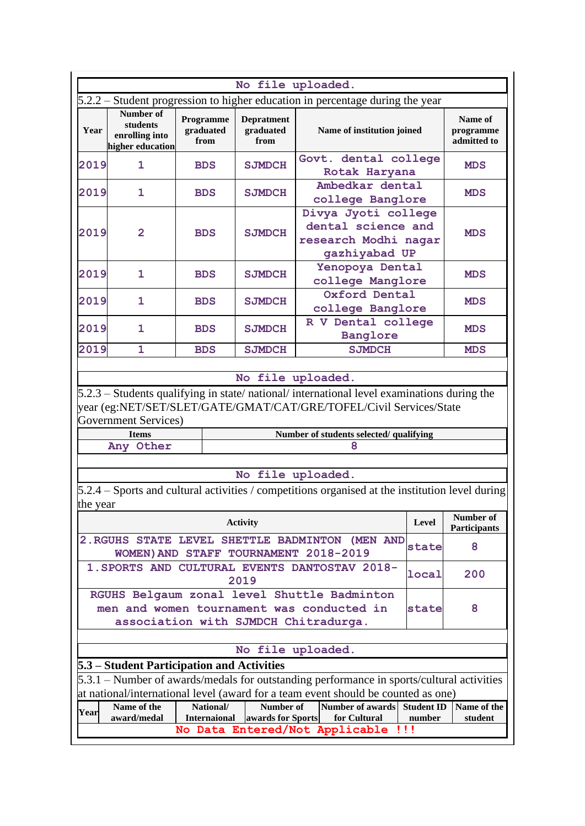|                                                                                                                                                                                 | No file uploaded.                                                                                                                                                              |                                  |                                        |                                                                                                                        |        |                                     |  |  |  |  |
|---------------------------------------------------------------------------------------------------------------------------------------------------------------------------------|--------------------------------------------------------------------------------------------------------------------------------------------------------------------------------|----------------------------------|----------------------------------------|------------------------------------------------------------------------------------------------------------------------|--------|-------------------------------------|--|--|--|--|
|                                                                                                                                                                                 |                                                                                                                                                                                |                                  |                                        | $5.2.2$ – Student progression to higher education in percentage during the year                                        |        |                                     |  |  |  |  |
| Year                                                                                                                                                                            | <b>Number of</b><br>students<br>enrolling into<br>higher education                                                                                                             | Programme<br>graduated<br>from   | <b>Depratment</b><br>graduated<br>from | Name of institution joined                                                                                             |        | Name of<br>programme<br>admitted to |  |  |  |  |
| 2019                                                                                                                                                                            | 1                                                                                                                                                                              | <b>BDS</b>                       | <b>SJMDCH</b>                          | Govt. dental college<br>Rotak Haryana                                                                                  |        | <b>MDS</b>                          |  |  |  |  |
| 2019                                                                                                                                                                            | 1                                                                                                                                                                              | <b>BDS</b>                       | <b>SJMDCH</b>                          | Ambedkar dental<br>college Banglore                                                                                    |        | <b>MDS</b>                          |  |  |  |  |
| 2019                                                                                                                                                                            | $\overline{2}$                                                                                                                                                                 | <b>BDS</b>                       | <b>SJMDCH</b>                          | Divya Jyoti college<br>dental science and<br>research Modhi nagar<br>gazhiyabad UP                                     |        | <b>MDS</b>                          |  |  |  |  |
| 2019                                                                                                                                                                            | 1                                                                                                                                                                              | <b>BDS</b>                       | <b>SJMDCH</b>                          | Yenopoya Dental<br>college Manglore                                                                                    |        | <b>MDS</b>                          |  |  |  |  |
| 2019                                                                                                                                                                            | 1                                                                                                                                                                              | <b>BDS</b>                       | <b>SJMDCH</b>                          | Oxford Dental<br>college Banglore                                                                                      |        | <b>MDS</b>                          |  |  |  |  |
| 2019                                                                                                                                                                            | 1                                                                                                                                                                              | <b>BDS</b>                       | <b>SJMDCH</b>                          | R V Dental college<br>Banglore                                                                                         |        | <b>MDS</b>                          |  |  |  |  |
| 2019                                                                                                                                                                            | 1                                                                                                                                                                              | <b>BDS</b>                       | <b>SJMDCH</b>                          | <b>SJMDCH</b>                                                                                                          |        | <b>MDS</b>                          |  |  |  |  |
| year (eg:NET/SET/SLET/GATE/GMAT/CAT/GRE/TOFEL/Civil Services/State<br><b>Government Services</b> )<br><b>Items</b><br>Number of students selected/ qualifying<br>Any Other<br>8 |                                                                                                                                                                                |                                  |                                        |                                                                                                                        |        |                                     |  |  |  |  |
|                                                                                                                                                                                 |                                                                                                                                                                                |                                  |                                        |                                                                                                                        |        |                                     |  |  |  |  |
| the year                                                                                                                                                                        |                                                                                                                                                                                |                                  |                                        | No file uploaded.<br>$5.2.4$ – Sports and cultural activities / competitions organised at the institution level during |        |                                     |  |  |  |  |
|                                                                                                                                                                                 |                                                                                                                                                                                |                                  | <b>Activity</b>                        |                                                                                                                        | Level  | Number of<br><b>Participants</b>    |  |  |  |  |
|                                                                                                                                                                                 |                                                                                                                                                                                |                                  |                                        | 2. RGUHS STATE LEVEL SHETTLE BADMINTON (MEN AND<br>WOMEN) AND STAFF TOURNAMENT 2018-2019                               | state  | 8                                   |  |  |  |  |
|                                                                                                                                                                                 |                                                                                                                                                                                |                                  | 2019                                   | 1. SPORTS AND CULTURAL EVENTS DANTOSTAV 2018-                                                                          | local  | 200                                 |  |  |  |  |
|                                                                                                                                                                                 | RGUHS Belgaum zonal level Shuttle Badminton<br>men and women tournament was conducted in<br>8<br>state<br>association with SJMDCH Chitradurga.                                 |                                  |                                        |                                                                                                                        |        |                                     |  |  |  |  |
|                                                                                                                                                                                 |                                                                                                                                                                                |                                  |                                        | No file uploaded.                                                                                                      |        |                                     |  |  |  |  |
| 5.3 – Student Participation and Activities                                                                                                                                      |                                                                                                                                                                                |                                  |                                        |                                                                                                                        |        |                                     |  |  |  |  |
|                                                                                                                                                                                 | 5.3.1 – Number of awards/medals for outstanding performance in sports/cultural activities<br>at national/international level (award for a team event should be counted as one) |                                  |                                        |                                                                                                                        |        |                                     |  |  |  |  |
|                                                                                                                                                                                 |                                                                                                                                                                                |                                  |                                        |                                                                                                                        |        |                                     |  |  |  |  |
| Year                                                                                                                                                                            | Name of the<br>award/medal                                                                                                                                                     | National/<br><b>Internaional</b> | Number of<br>awards for Sports         | Number of awards Student ID<br>for Cultural                                                                            | number | Name of the<br>student              |  |  |  |  |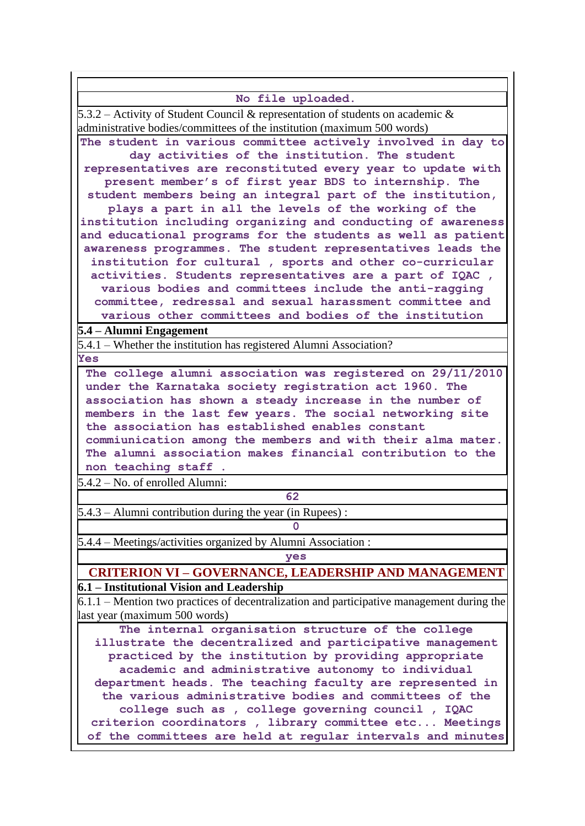| No file uploaded.                                                                                                  |  |  |  |  |  |  |  |
|--------------------------------------------------------------------------------------------------------------------|--|--|--|--|--|--|--|
| $5.3.2$ – Activity of Student Council & representation of students on academic &                                   |  |  |  |  |  |  |  |
| administrative bodies/committees of the institution (maximum 500 words)                                            |  |  |  |  |  |  |  |
| The student in various committee actively involved in day to                                                       |  |  |  |  |  |  |  |
| day activities of the institution. The student                                                                     |  |  |  |  |  |  |  |
| representatives are reconstituted every year to update with                                                        |  |  |  |  |  |  |  |
| present member's of first year BDS to internship. The                                                              |  |  |  |  |  |  |  |
| student members being an integral part of the institution,                                                         |  |  |  |  |  |  |  |
| plays a part in all the levels of the working of the                                                               |  |  |  |  |  |  |  |
| institution including organizing and conducting of awareness                                                       |  |  |  |  |  |  |  |
| and educational programs for the students as well as patient                                                       |  |  |  |  |  |  |  |
| awareness programmes. The student representatives leads the                                                        |  |  |  |  |  |  |  |
| institution for cultural, sports and other co-curricular                                                           |  |  |  |  |  |  |  |
| activities. Students representatives are a part of IQAC,<br>various bodies and committees include the anti-ragging |  |  |  |  |  |  |  |
| committee, redressal and sexual harassment committee and                                                           |  |  |  |  |  |  |  |
| various other committees and bodies of the institution                                                             |  |  |  |  |  |  |  |
| 5.4 – Alumni Engagement                                                                                            |  |  |  |  |  |  |  |
| 5.4.1 – Whether the institution has registered Alumni Association?                                                 |  |  |  |  |  |  |  |
| Yes                                                                                                                |  |  |  |  |  |  |  |
| The college alumni association was registered on 29/11/2010                                                        |  |  |  |  |  |  |  |
| under the Karnataka society registration act 1960. The                                                             |  |  |  |  |  |  |  |
| association has shown a steady increase in the number of                                                           |  |  |  |  |  |  |  |
| members in the last few years. The social networking site                                                          |  |  |  |  |  |  |  |
| the association has established enables constant                                                                   |  |  |  |  |  |  |  |
| commiunication among the members and with their alma mater.                                                        |  |  |  |  |  |  |  |
| The alumni association makes financial contribution to the                                                         |  |  |  |  |  |  |  |
| non teaching staff.                                                                                                |  |  |  |  |  |  |  |
| $5.4.2 - No.$ of enrolled Alumni:                                                                                  |  |  |  |  |  |  |  |
| 62                                                                                                                 |  |  |  |  |  |  |  |
| 5.4.3 - Alumni contribution during the year (in Rupees):<br>$\mathbf{0}$                                           |  |  |  |  |  |  |  |
|                                                                                                                    |  |  |  |  |  |  |  |
| $5.4.4$ – Meetings/activities organized by Alumni Association :                                                    |  |  |  |  |  |  |  |
| yes                                                                                                                |  |  |  |  |  |  |  |
| <b>CRITERION VI - GOVERNANCE, LEADERSHIP AND MANAGEMENT</b><br>6.1 – Institutional Vision and Leadership           |  |  |  |  |  |  |  |
| $6.1.1$ – Mention two practices of decentralization and participative management during the                        |  |  |  |  |  |  |  |
| last year (maximum 500 words)                                                                                      |  |  |  |  |  |  |  |
| The internal organisation structure of the college                                                                 |  |  |  |  |  |  |  |
| illustrate the decentralized and participative management                                                          |  |  |  |  |  |  |  |
| practiced by the institution by providing appropriate                                                              |  |  |  |  |  |  |  |
| academic and administrative autonomy to individual                                                                 |  |  |  |  |  |  |  |
| department heads. The teaching faculty are represented in                                                          |  |  |  |  |  |  |  |
| the various administrative bodies and committees of the                                                            |  |  |  |  |  |  |  |
| college such as , college governing council , IQAC                                                                 |  |  |  |  |  |  |  |
| criterion coordinators, library committee etc Meetings                                                             |  |  |  |  |  |  |  |
| of the committees are held at regular intervals and minutes                                                        |  |  |  |  |  |  |  |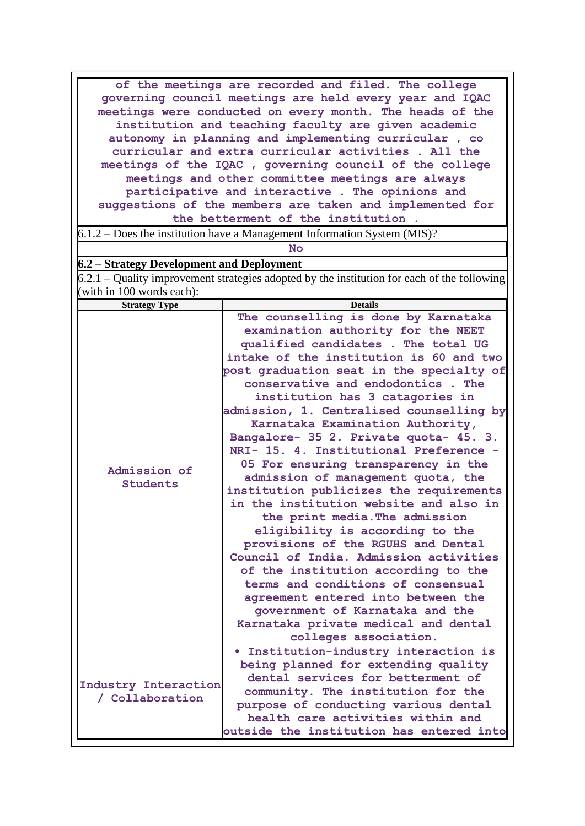**of the meetings are recorded and filed. The college governing council meetings are held every year and IQAC meetings were conducted on every month. The heads of the institution and teaching faculty are given academic autonomy in planning and implementing curricular , co curricular and extra curricular activities . All the meetings of the IQAC , governing council of the college meetings and other committee meetings are always participative and interactive . The opinions and suggestions of the members are taken and implemented for the betterment of the institution .**

6.1.2 – Does the institution have a Management Information System (MIS)?

**No**

#### **6.2 – Strategy Development and Deployment**

|  |                           | $6.2.1$ – Quality improvement strategies adopted by the institution for each of the following |  |  |  |  |
|--|---------------------------|-----------------------------------------------------------------------------------------------|--|--|--|--|
|  | (with in 100 words each): |                                                                                               |  |  |  |  |

| <b>Strategy Type</b> | <b>Details</b>                           |
|----------------------|------------------------------------------|
|                      | The counselling is done by Karnataka     |
|                      | examination authority for the NEET       |
|                      | qualified candidates . The total UG      |
|                      | intake of the institution is 60 and two  |
|                      | post graduation seat in the specialty of |
|                      | conservative and endodontics. The        |
|                      | institution has 3 catagories in          |
|                      | admission, 1. Centralised counselling by |
|                      | Karnataka Examination Authority,         |
|                      | Bangalore- 35 2. Private quota- 45. 3.   |
|                      | NRI- 15. 4. Institutional Preference -   |
| Admission of         | 05 For ensuring transparency in the      |
| <b>Students</b>      | admission of management quota, the       |
|                      | institution publicizes the requirements  |
|                      | in the institution website and also in   |
|                      | the print media. The admission           |
|                      | eligibility is according to the          |
|                      | provisions of the RGUHS and Dental       |
|                      | Council of India. Admission activities   |
|                      | of the institution according to the      |
|                      | terms and conditions of consensual       |
|                      | agreement entered into between the       |
|                      | government of Karnataka and the          |
|                      | Karnataka private medical and dental     |
|                      | colleges association.                    |
|                      | · Institution-industry interaction is    |
|                      | being planned for extending quality      |
| Industry Interaction | dental services for betterment of        |
| / Collaboration      | community. The institution for the       |
|                      | purpose of conducting various dental     |
|                      | health care activities within and        |
|                      | outside the institution has entered into |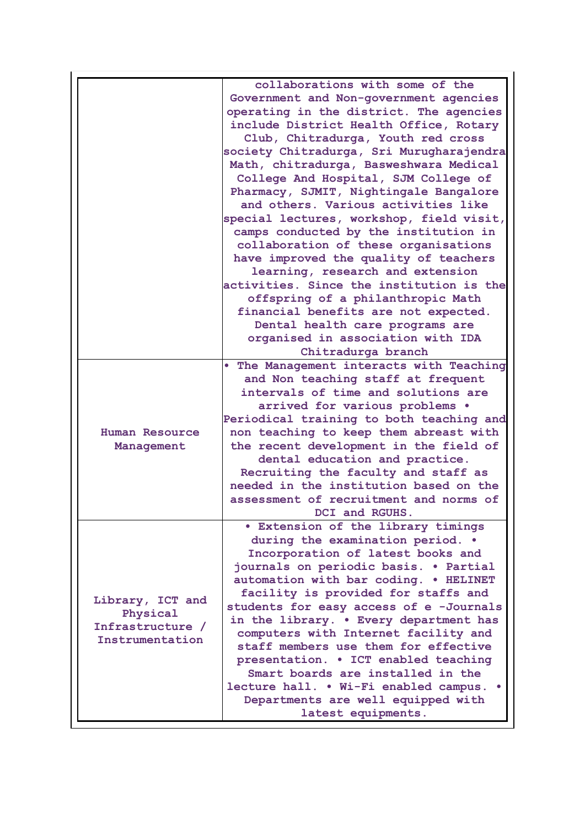|                  | collaborations with some of the           |
|------------------|-------------------------------------------|
|                  | Government and Non-government agencies    |
|                  | operating in the district. The agencies   |
|                  | include District Health Office, Rotary    |
|                  | Club, Chitradurga, Youth red cross        |
|                  | society Chitradurga, Sri Murugharajendra  |
|                  | Math, chitradurga, Basweshwara Medical    |
|                  | College And Hospital, SJM College of      |
|                  | Pharmacy, SJMIT, Nightingale Bangalore    |
|                  | and others. Various activities like       |
|                  | special lectures, workshop, field visit,  |
|                  | camps conducted by the institution in     |
|                  | collaboration of these organisations      |
|                  |                                           |
|                  | have improved the quality of teachers     |
|                  | learning, research and extension          |
|                  | activities. Since the institution is the  |
|                  | offspring of a philanthropic Math         |
|                  | financial benefits are not expected.      |
|                  | Dental health care programs are           |
|                  | organised in association with IDA         |
|                  | Chitradurga branch                        |
|                  | . The Management interacts with Teaching  |
|                  | and Non teaching staff at frequent        |
|                  | intervals of time and solutions are       |
|                  | arrived for various problems .            |
|                  | Periodical training to both teaching and  |
| Human Resource   | non teaching to keep them abreast with    |
| Management       | the recent development in the field of    |
|                  | dental education and practice.            |
|                  | Recruiting the faculty and staff as       |
|                  | needed in the institution based on the    |
|                  |                                           |
|                  | assessment of recruitment and norms of    |
|                  | DCI and RGUHS.                            |
|                  | <b>• Extension of the library timings</b> |
|                  | during the examination period. .          |
|                  | Incorporation of latest books and         |
|                  | journals on periodic basis. . Partial     |
|                  | automation with bar coding. . HELINET     |
|                  | facility is provided for staffs and       |
| Library, ICT and | students for easy access of e -Journals   |
| Physical         | in the library. . Every department has    |
| Infrastructure / | computers with Internet facility and      |
| Instrumentation  | staff members use them for effective      |
|                  | presentation. . ICT enabled teaching      |
|                  | Smart boards are installed in the         |
|                  |                                           |
|                  | lecture hall. . Wi-Fi enabled campus. .   |
|                  | Departments are well equipped with        |
|                  | latest equipments.                        |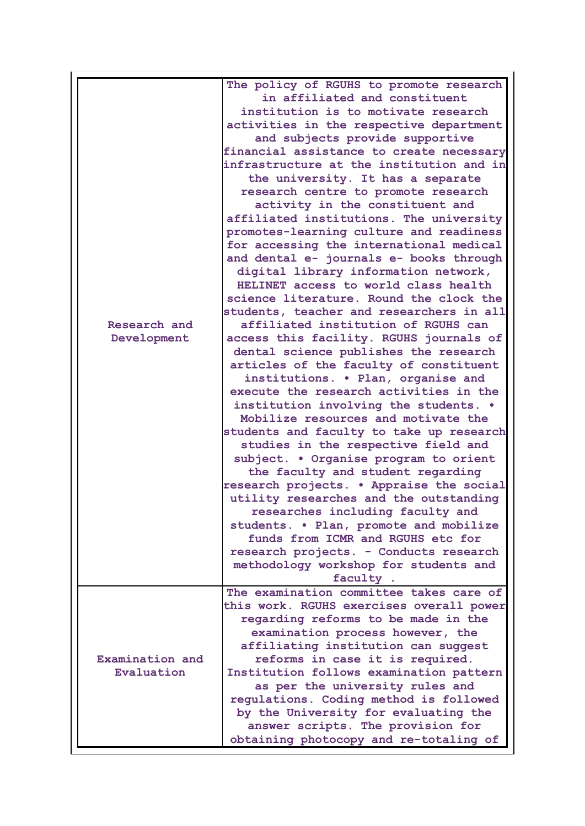|                 | The policy of RGUHS to promote research<br>in affiliated and constituent |
|-----------------|--------------------------------------------------------------------------|
|                 | institution is to motivate research                                      |
|                 |                                                                          |
|                 | activities in the respective department                                  |
|                 | and subjects provide supportive                                          |
|                 | financial assistance to create necessary                                 |
|                 | infrastructure at the institution and in                                 |
|                 | the university. It has a separate                                        |
|                 | research centre to promote research                                      |
|                 | activity in the constituent and                                          |
|                 | affiliated institutions. The university                                  |
|                 | promotes-learning culture and readiness                                  |
|                 | for accessing the international medical                                  |
|                 | and dental e- journals e- books through                                  |
|                 | digital library information network,                                     |
|                 | HELINET access to world class health                                     |
|                 | science literature. Round the clock the                                  |
|                 | students, teacher and researchers in all                                 |
| Research and    | affiliated institution of RGUHS can                                      |
| Development     | access this facility. RGUHS journals of                                  |
|                 | dental science publishes the research                                    |
|                 | articles of the faculty of constituent                                   |
|                 | institutions. . Plan, organise and                                       |
|                 | execute the research activities in the                                   |
|                 |                                                                          |
|                 | institution involving the students. .                                    |
|                 | Mobilize resources and motivate the                                      |
|                 | students and faculty to take up research                                 |
|                 | studies in the respective field and                                      |
|                 | subject. . Organise program to orient                                    |
|                 | the faculty and student regarding                                        |
|                 | research projects. . Appraise the social                                 |
|                 | utility researches and the outstanding                                   |
|                 | researches including faculty and                                         |
|                 | students. . Plan, promote and mobilize                                   |
|                 | funds from ICMR and RGUHS etc for                                        |
|                 | research projects. - Conducts research                                   |
|                 | methodology workshop for students and                                    |
|                 | faculty.                                                                 |
|                 | The examination committee takes care of                                  |
|                 | this work. RGUHS exercises overall power                                 |
|                 | regarding reforms to be made in the                                      |
|                 | examination process however, the                                         |
|                 | affiliating institution can suggest                                      |
| Examination and | reforms in case it is required.                                          |
| Evaluation      | Institution follows examination pattern                                  |
|                 | as per the university rules and                                          |
|                 | regulations. Coding method is followed                                   |
|                 | by the University for evaluating the                                     |
|                 | answer scripts. The provision for                                        |
|                 | obtaining photocopy and re-totaling of                                   |
|                 |                                                                          |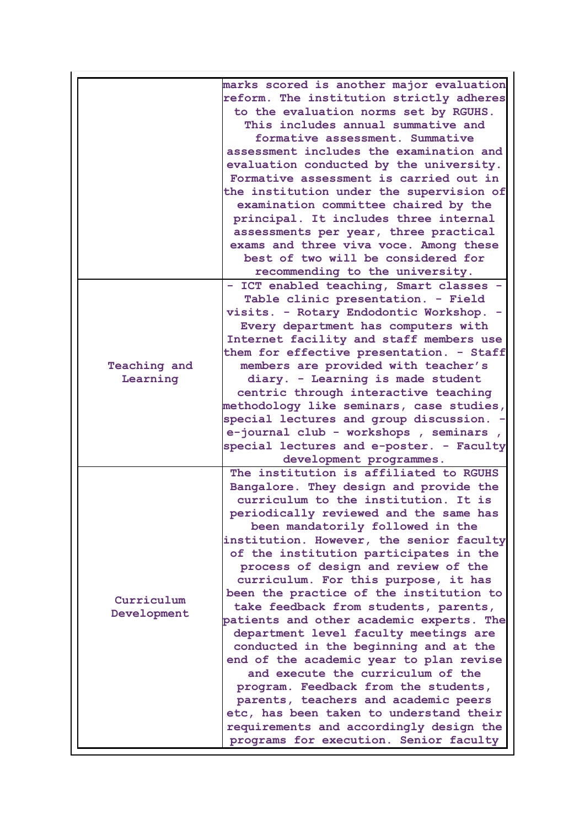|                           | marks scored is another major evaluation<br>reform. The institution strictly adheres<br>to the evaluation norms set by RGUHS.<br>This includes annual summative and<br>formative assessment. Summative<br>assessment includes the examination and<br>evaluation conducted by the university.<br>Formative assessment is carried out in<br>the institution under the supervision of<br>examination committee chaired by the<br>principal. It includes three internal<br>assessments per year, three practical<br>exams and three viva voce. Among these<br>best of two will be considered for<br>recommending to the university.<br>- ICT enabled teaching, Smart classes                                                                                                                                                                                                                      |
|---------------------------|-----------------------------------------------------------------------------------------------------------------------------------------------------------------------------------------------------------------------------------------------------------------------------------------------------------------------------------------------------------------------------------------------------------------------------------------------------------------------------------------------------------------------------------------------------------------------------------------------------------------------------------------------------------------------------------------------------------------------------------------------------------------------------------------------------------------------------------------------------------------------------------------------|
|                           | Table clinic presentation. - Field<br>visits. - Rotary Endodontic Workshop. -<br>Every department has computers with<br>Internet facility and staff members use<br>them for effective presentation. - Staff                                                                                                                                                                                                                                                                                                                                                                                                                                                                                                                                                                                                                                                                                   |
| <b>Teaching and</b>       | members are provided with teacher's                                                                                                                                                                                                                                                                                                                                                                                                                                                                                                                                                                                                                                                                                                                                                                                                                                                           |
| Learning                  | diary. - Learning is made student                                                                                                                                                                                                                                                                                                                                                                                                                                                                                                                                                                                                                                                                                                                                                                                                                                                             |
|                           | centric through interactive teaching<br>methodology like seminars, case studies,<br>special lectures and group discussion. -<br>e-journal club - workshops, seminars<br>special lectures and e-poster. - Faculty<br>development programmes.                                                                                                                                                                                                                                                                                                                                                                                                                                                                                                                                                                                                                                                   |
| Curriculum<br>Development | The institution is affiliated to RGUHS<br>Bangalore. They design and provide the<br>curriculum to the institution. It is<br>periodically reviewed and the same has<br>been mandatorily followed in the<br>institution. However, the senior faculty<br>of the institution participates in the<br>process of design and review of the<br>curriculum. For this purpose, it has<br>been the practice of the institution to<br>take feedback from students, parents,<br>patients and other academic experts. The<br>department level faculty meetings are<br>conducted in the beginning and at the<br>end of the academic year to plan revise<br>and execute the curriculum of the<br>program. Feedback from the students,<br>parents, teachers and academic peers<br>etc, has been taken to understand their<br>requirements and accordingly design the<br>programs for execution. Senior faculty |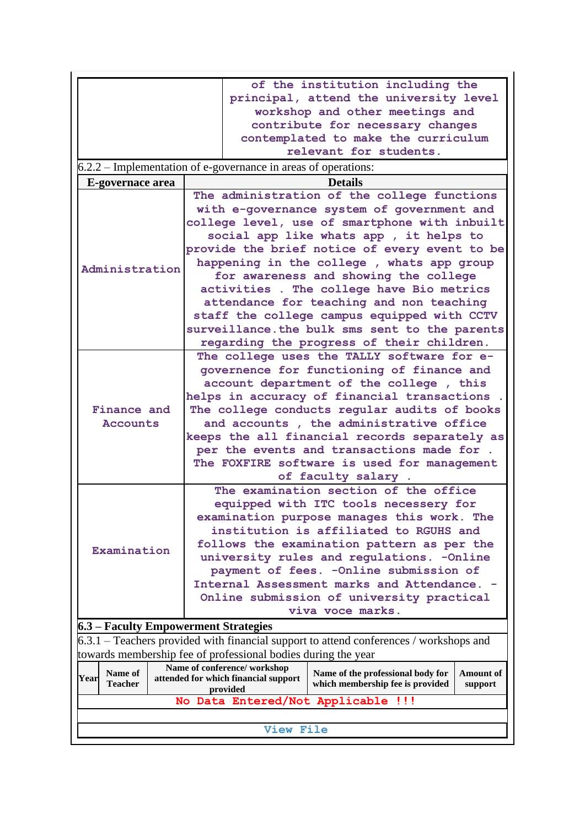|                                      | <b>View File</b>                                                                                                                                                                                                                                                                                                                                                                                                                                                                                                                                                    |                        |                                                                         |                             |
|--------------------------------------|---------------------------------------------------------------------------------------------------------------------------------------------------------------------------------------------------------------------------------------------------------------------------------------------------------------------------------------------------------------------------------------------------------------------------------------------------------------------------------------------------------------------------------------------------------------------|------------------------|-------------------------------------------------------------------------|-----------------------------|
|                                      | No Data Entered/Not Applicable !!!                                                                                                                                                                                                                                                                                                                                                                                                                                                                                                                                  |                        |                                                                         |                             |
| Name of<br>Year<br><b>Teacher</b>    | attended for which financial support<br>provided                                                                                                                                                                                                                                                                                                                                                                                                                                                                                                                    |                        | Name of the professional body for<br>which membership fee is provided   | <b>Amount</b> of<br>support |
|                                      | towards membership fee of professional bodies during the year<br>Name of conference/workshop                                                                                                                                                                                                                                                                                                                                                                                                                                                                        |                        |                                                                         |                             |
|                                      | $6.3.1$ – Teachers provided with financial support to attend conferences / workshops and                                                                                                                                                                                                                                                                                                                                                                                                                                                                            |                        |                                                                         |                             |
| 6.3 – Faculty Empowerment Strategies |                                                                                                                                                                                                                                                                                                                                                                                                                                                                                                                                                                     |                        |                                                                         |                             |
|                                      | payment of fees. - Online submission of<br>Internal Assessment marks and Attendance.<br>Online submission of university practical<br>viva voce marks.                                                                                                                                                                                                                                                                                                                                                                                                               |                        |                                                                         |                             |
| Examination                          | equipped with ITC tools necessery for<br>examination purpose manages this work. The<br>institution is affiliated to RGUHS and<br>follows the examination pattern as per the<br>university rules and regulations. - Online                                                                                                                                                                                                                                                                                                                                           |                        |                                                                         |                             |
| Finance and<br><b>Accounts</b>       | The college uses the TALLY software for e-<br>governence for functioning of finance and<br>account department of the college, this<br>helps in accuracy of financial transactions<br>The college conducts regular audits of books<br>and accounts, the administrative office<br>keeps the all financial records separately as<br>per the events and transactions made for.<br>The FOXFIRE software is used for management<br>The examination section of the office                                                                                                  | of faculty salary.     |                                                                         |                             |
| Administration                       | The administration of the college functions<br>with e-governance system of government and<br>college level, use of smartphone with inbuilt<br>social app like whats app , it helps to<br>provide the brief notice of every event to be<br>happening in the college, whats app group<br>for awareness and showing the college<br>activities . The college have Bio metrics<br>attendance for teaching and non teaching<br>staff the college campus equipped with CCTV<br>surveillance. the bulk sms sent to the parents<br>regarding the progress of their children. |                        |                                                                         |                             |
| E-governace area                     |                                                                                                                                                                                                                                                                                                                                                                                                                                                                                                                                                                     | <b>Details</b>         |                                                                         |                             |
|                                      | $6.2.2$ – Implementation of e-governance in areas of operations:                                                                                                                                                                                                                                                                                                                                                                                                                                                                                                    |                        |                                                                         |                             |
|                                      |                                                                                                                                                                                                                                                                                                                                                                                                                                                                                                                                                                     | relevant for students. | contribute for necessary changes<br>contemplated to make the curriculum |                             |
|                                      | principal, attend the university level                                                                                                                                                                                                                                                                                                                                                                                                                                                                                                                              |                        | workshop and other meetings and                                         |                             |
|                                      |                                                                                                                                                                                                                                                                                                                                                                                                                                                                                                                                                                     |                        | of the institution including the                                        |                             |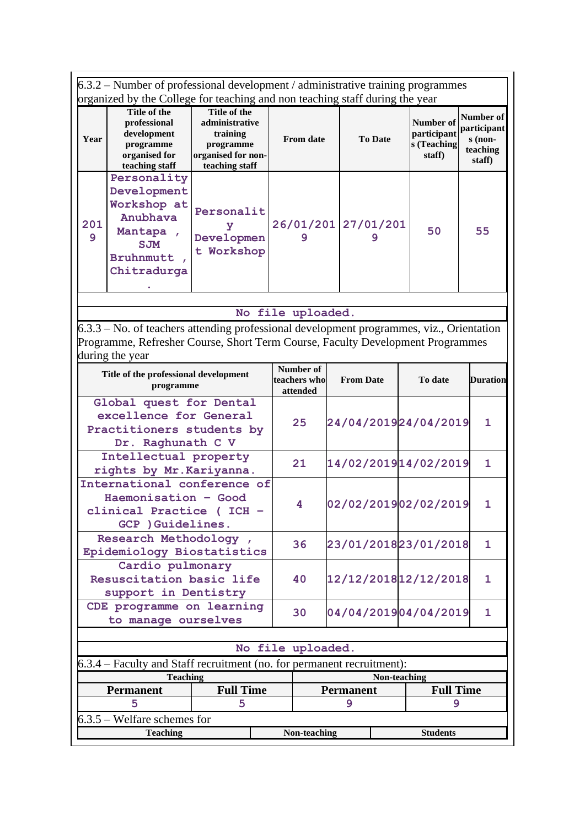6.3.2 – Number of professional development / administrative training programmes organized by the College for teaching and non teaching staff during the year

| Year     | Title of the<br>professional<br>development<br>programme<br>organised for<br>teaching staff         | Title of the<br>administrative<br>training<br>programme<br>organised for non-<br>teaching staff | <b>From date</b>         | <b>To Date</b> | <b>Number of</b><br>participant<br>s (Teaching<br>staff) | Number of<br>participant<br>$s$ (non-<br>teaching<br>staff) |
|----------|-----------------------------------------------------------------------------------------------------|-------------------------------------------------------------------------------------------------|--------------------------|----------------|----------------------------------------------------------|-------------------------------------------------------------|
| 201<br>9 | Personality<br>Development<br>Workshop at<br>Anubhava<br>Mantapa<br>SJM<br>Bruhnmutt<br>Chitradurga | Personalit<br>Developmen<br>t Workshop                                                          | 26/01/201 27/01/201<br>9 |                | 50                                                       | 55                                                          |

#### **No file uploaded.**

6.3.3 – No. of teachers attending professional development programmes, viz., Orientation Programme, Refresher Course, Short Term Course, Faculty Development Programmes during the year

| Title of the professional development<br>programme                                                   |                  | Number of<br>teachers who<br>attended | <b>From Date</b> | To date               | <b>Duration</b> |  |  |
|------------------------------------------------------------------------------------------------------|------------------|---------------------------------------|------------------|-----------------------|-----------------|--|--|
| Global quest for Dental<br>excellence for General<br>Practitioners students by<br>Dr. Raghunath C V  |                  | 25                                    |                  | 24/04/201924/04/2019  | 1               |  |  |
| Intellectual property<br>rights by Mr. Kariyanna.                                                    |                  | 21                                    |                  | 14/02/2019 14/02/2019 | 1               |  |  |
| International conference of<br>Haemonisation - Good<br>clinical Practice (ICH -<br>GCP ) Guidelines. |                  | 4                                     |                  | 02/02/201902/02/2019  | 1               |  |  |
| Research Methodology,<br>Epidemiology Biostatistics                                                  |                  | 36                                    |                  | 23/01/201823/01/2018  | 1.              |  |  |
| Cardio pulmonary<br>Resuscitation basic life<br>support in Dentistry                                 |                  | 40                                    |                  | 12/12/2018 12/12/2018 | 1               |  |  |
| CDE programme on learning<br>to manage ourselves                                                     |                  | 30                                    |                  | 04/04/201904/04/2019  | 1               |  |  |
| No file uploaded.                                                                                    |                  |                                       |                  |                       |                 |  |  |
| $6.3.4$ – Faculty and Staff recruitment (no. for permanent recruitment):                             |                  |                                       |                  |                       |                 |  |  |
| <b>Teaching</b>                                                                                      |                  |                                       |                  | Non-teaching          |                 |  |  |
| <b>Permanent</b>                                                                                     | <b>Full Time</b> |                                       | <b>Permanent</b> | <b>Full Time</b>      |                 |  |  |
| 5                                                                                                    | 5                |                                       | 9                | 9                     |                 |  |  |
| $6.3.5$ – Welfare schemes for                                                                        |                  |                                       |                  |                       |                 |  |  |

**Teaching Non-teaching Students**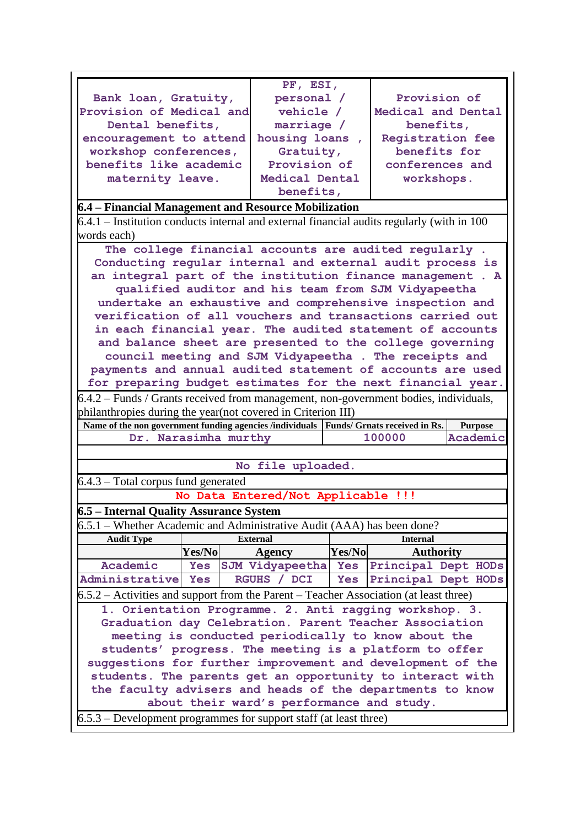|                                                                                                                                                        |                  | PF, ESI,                                  |        |                                                     |                |  |  |  |
|--------------------------------------------------------------------------------------------------------------------------------------------------------|------------------|-------------------------------------------|--------|-----------------------------------------------------|----------------|--|--|--|
| Bank loan, Gratuity,                                                                                                                                   |                  | personal /                                |        | Provision of                                        |                |  |  |  |
| Provision of Medical and                                                                                                                               |                  | vehicle /                                 |        | Medical and Dental                                  |                |  |  |  |
| Dental benefits,                                                                                                                                       |                  | marriage /                                |        | benefits,                                           |                |  |  |  |
| encouragement to attend                                                                                                                                |                  | housing loans,                            |        | Registration fee                                    |                |  |  |  |
| workshop conferences,                                                                                                                                  |                  | Gratuity,                                 |        | benefits for                                        |                |  |  |  |
| benefits like academic                                                                                                                                 |                  | Provision of                              |        | conferences and                                     |                |  |  |  |
|                                                                                                                                                        |                  | Medical Dental                            |        |                                                     |                |  |  |  |
| maternity leave.                                                                                                                                       |                  |                                           |        | workshops.                                          |                |  |  |  |
| benefits,                                                                                                                                              |                  |                                           |        |                                                     |                |  |  |  |
| 6.4 – Financial Management and Resource Mobilization                                                                                                   |                  |                                           |        |                                                     |                |  |  |  |
| $6.4.1$ – Institution conducts internal and external financial audits regularly (with in 100<br>words each)                                            |                  |                                           |        |                                                     |                |  |  |  |
| The college financial accounts are audited regularly.                                                                                                  |                  |                                           |        |                                                     |                |  |  |  |
| Conducting regular internal and external audit process is                                                                                              |                  |                                           |        |                                                     |                |  |  |  |
| an integral part of the institution finance management . A                                                                                             |                  |                                           |        |                                                     |                |  |  |  |
|                                                                                                                                                        |                  |                                           |        | qualified auditor and his team from SJM Vidyapeetha |                |  |  |  |
|                                                                                                                                                        |                  |                                           |        |                                                     |                |  |  |  |
| undertake an exhaustive and comprehensive inspection and                                                                                               |                  |                                           |        |                                                     |                |  |  |  |
| verification of all vouchers and transactions carried out                                                                                              |                  |                                           |        |                                                     |                |  |  |  |
| in each financial year. The audited statement of accounts                                                                                              |                  |                                           |        |                                                     |                |  |  |  |
| and balance sheet are presented to the college governing                                                                                               |                  |                                           |        |                                                     |                |  |  |  |
| council meeting and SJM Vidyapeetha . The receipts and                                                                                                 |                  |                                           |        |                                                     |                |  |  |  |
| payments and annual audited statement of accounts are used                                                                                             |                  |                                           |        |                                                     |                |  |  |  |
| for preparing budget estimates for the next financial year.                                                                                            |                  |                                           |        |                                                     |                |  |  |  |
| $6.4.2$ – Funds / Grants received from management, non-government bodies, individuals,                                                                 |                  |                                           |        |                                                     |                |  |  |  |
|                                                                                                                                                        |                  |                                           |        |                                                     |                |  |  |  |
| philanthropies during the year(not covered in Criterion III)<br>Name of the non government funding agencies /individuals Funds/ Grnats received in Rs. |                  |                                           |        |                                                     |                |  |  |  |
|                                                                                                                                                        |                  |                                           |        |                                                     |                |  |  |  |
|                                                                                                                                                        |                  |                                           |        |                                                     | <b>Purpose</b> |  |  |  |
| Dr.                                                                                                                                                    | Narasimha murthy |                                           |        | 100000                                              | Academic       |  |  |  |
|                                                                                                                                                        |                  |                                           |        |                                                     |                |  |  |  |
|                                                                                                                                                        |                  | No file uploaded.                         |        |                                                     |                |  |  |  |
| $6.4.3$ – Total corpus fund generated                                                                                                                  |                  |                                           |        |                                                     |                |  |  |  |
|                                                                                                                                                        |                  | No Data Entered/Not Applicable !!!        |        |                                                     |                |  |  |  |
|                                                                                                                                                        |                  |                                           |        |                                                     |                |  |  |  |
| 6.5 - Internal Quality Assurance System                                                                                                                |                  |                                           |        |                                                     |                |  |  |  |
| 6.5.1 – Whether Academic and Administrative Audit (AAA) has been done?                                                                                 |                  |                                           |        |                                                     |                |  |  |  |
| <b>Audit Type</b>                                                                                                                                      |                  | <b>External</b>                           |        | <b>Internal</b>                                     |                |  |  |  |
|                                                                                                                                                        | Yes/No           | <b>Agency</b>                             | Yes/No | <b>Authority</b>                                    |                |  |  |  |
| Academic                                                                                                                                               | <b>Yes</b>       | SJM Vidyapeetha Yes                       |        | Principal Dept HODs                                 |                |  |  |  |
| Administrative Yes                                                                                                                                     |                  | RGUHS / DCI                               | Yes    | Principal Dept HODs                                 |                |  |  |  |
| $6.5.2$ – Activities and support from the Parent – Teacher Association (at least three)                                                                |                  |                                           |        |                                                     |                |  |  |  |
| 1. Orientation Programme. 2. Anti ragging workshop. 3.                                                                                                 |                  |                                           |        |                                                     |                |  |  |  |
| Graduation day Celebration. Parent Teacher Association                                                                                                 |                  |                                           |        |                                                     |                |  |  |  |
|                                                                                                                                                        |                  |                                           |        | meeting is conducted periodically to know about the |                |  |  |  |
| students' progress. The meeting is a platform to offer                                                                                                 |                  |                                           |        |                                                     |                |  |  |  |
| suggestions for further improvement and development of the                                                                                             |                  |                                           |        |                                                     |                |  |  |  |
|                                                                                                                                                        |                  |                                           |        |                                                     |                |  |  |  |
| students. The parents get an opportunity to interact with                                                                                              |                  |                                           |        |                                                     |                |  |  |  |
| the faculty advisers and heads of the departments to know                                                                                              |                  |                                           |        |                                                     |                |  |  |  |
| $6.5.3$ – Development programmes for support staff (at least three)                                                                                    |                  | about their ward's performance and study. |        |                                                     |                |  |  |  |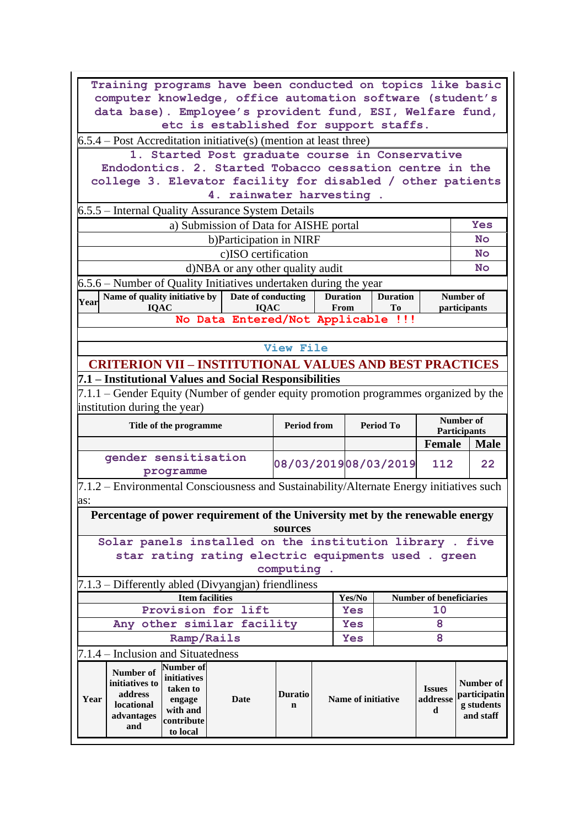|                                                                               | Training programs have been conducted on topics like basic                           |                                                                   |                    |                                                                                          |                           |                      |                                |                           |             |  |  |
|-------------------------------------------------------------------------------|--------------------------------------------------------------------------------------|-------------------------------------------------------------------|--------------------|------------------------------------------------------------------------------------------|---------------------------|----------------------|--------------------------------|---------------------------|-------------|--|--|
| computer knowledge, office automation software (student's                     |                                                                                      |                                                                   |                    |                                                                                          |                           |                      |                                |                           |             |  |  |
| data base). Employee's provident fund, ESI, Welfare fund,                     |                                                                                      |                                                                   |                    |                                                                                          |                           |                      |                                |                           |             |  |  |
|                                                                               | etc is established for support staffs.                                               |                                                                   |                    |                                                                                          |                           |                      |                                |                           |             |  |  |
| $6.5.4$ – Post Accreditation initiative(s) (mention at least three)           |                                                                                      |                                                                   |                    |                                                                                          |                           |                      |                                |                           |             |  |  |
|                                                                               | 1. Started Post graduate course in Conservative                                      |                                                                   |                    |                                                                                          |                           |                      |                                |                           |             |  |  |
|                                                                               | Endodontics. 2. Started Tobacco cessation centre in the                              |                                                                   |                    |                                                                                          |                           |                      |                                |                           |             |  |  |
|                                                                               | college 3. Elevator facility for disabled / other patients                           |                                                                   |                    |                                                                                          |                           |                      |                                |                           |             |  |  |
|                                                                               |                                                                                      | 4. rainwater harvesting.                                          |                    |                                                                                          |                           |                      |                                |                           |             |  |  |
|                                                                               | 6.5.5 – Internal Quality Assurance System Details                                    |                                                                   |                    |                                                                                          |                           |                      |                                |                           | Yes         |  |  |
|                                                                               |                                                                                      | a) Submission of Data for AISHE portal<br>b)Participation in NIRF |                    |                                                                                          |                           |                      |                                |                           | <b>No</b>   |  |  |
|                                                                               |                                                                                      | c)ISO certification                                               |                    |                                                                                          |                           |                      |                                |                           | <b>No</b>   |  |  |
|                                                                               |                                                                                      | d)NBA or any other quality audit                                  |                    |                                                                                          |                           |                      |                                |                           | No          |  |  |
|                                                                               | 6.5.6 – Number of Quality Initiatives undertaken during the year                     |                                                                   |                    |                                                                                          |                           |                      |                                |                           |             |  |  |
|                                                                               | Name of quality initiative by $\vert$ Date of conducting                             |                                                                   |                    | <b>Duration</b>                                                                          |                           | <b>Duration</b>      |                                | Number of                 |             |  |  |
| Year                                                                          | <b>IQAC</b>                                                                          | <b>IQAC</b>                                                       |                    | From                                                                                     |                           | Tо                   |                                | participants              |             |  |  |
|                                                                               |                                                                                      | No Data Entered/Not Applicable !!!                                |                    |                                                                                          |                           |                      |                                |                           |             |  |  |
|                                                                               |                                                                                      |                                                                   |                    |                                                                                          |                           |                      |                                |                           |             |  |  |
|                                                                               |                                                                                      |                                                                   | <b>View File</b>   |                                                                                          |                           |                      |                                |                           |             |  |  |
|                                                                               | <b>CRITERION VII - INSTITUTIONAL VALUES AND BEST PRACTICES</b>                       |                                                                   |                    |                                                                                          |                           |                      |                                |                           |             |  |  |
|                                                                               | 7.1 – Institutional Values and Social Responsibilities                               |                                                                   |                    |                                                                                          |                           |                      |                                |                           |             |  |  |
|                                                                               | 7.1.1 – Gender Equity (Number of gender equity promotion programmes organized by the |                                                                   |                    |                                                                                          |                           |                      |                                |                           |             |  |  |
|                                                                               | institution during the year)                                                         |                                                                   |                    |                                                                                          |                           |                      |                                |                           |             |  |  |
|                                                                               | Title of the programme                                                               |                                                                   | <b>Period from</b> |                                                                                          |                           | <b>Period To</b>     |                                | Number of<br>Participants |             |  |  |
|                                                                               |                                                                                      |                                                                   |                    |                                                                                          |                           |                      | <b>Female</b>                  |                           | <b>Male</b> |  |  |
|                                                                               | gender sensitisation                                                                 |                                                                   |                    |                                                                                          |                           |                      |                                |                           |             |  |  |
|                                                                               | programme                                                                            |                                                                   |                    |                                                                                          |                           | 08/03/201908/03/2019 | 112                            |                           | 22          |  |  |
|                                                                               |                                                                                      |                                                                   |                    |                                                                                          |                           |                      |                                |                           |             |  |  |
| as:                                                                           |                                                                                      |                                                                   |                    | 7.1.2 – Environmental Consciousness and Sustainability/Alternate Energy initiatives such |                           |                      |                                |                           |             |  |  |
| Percentage of power requirement of the University met by the renewable energy |                                                                                      |                                                                   |                    |                                                                                          |                           |                      |                                |                           |             |  |  |
|                                                                               |                                                                                      |                                                                   |                    |                                                                                          |                           |                      |                                |                           |             |  |  |
|                                                                               |                                                                                      |                                                                   | sources            |                                                                                          |                           |                      |                                |                           |             |  |  |
|                                                                               | Solar panels installed on the institution library. five                              |                                                                   |                    |                                                                                          |                           |                      |                                |                           |             |  |  |
|                                                                               | star rating rating electric equipments used . green                                  |                                                                   |                    |                                                                                          |                           |                      |                                |                           |             |  |  |
|                                                                               |                                                                                      |                                                                   | computing.         |                                                                                          |                           |                      |                                |                           |             |  |  |
|                                                                               | 7.1.3 – Differently abled (Divyangjan) friendliness                                  |                                                                   |                    |                                                                                          |                           |                      |                                |                           |             |  |  |
|                                                                               | <b>Item facilities</b>                                                               |                                                                   |                    |                                                                                          | Yes/No                    |                      | <b>Number of beneficiaries</b> |                           |             |  |  |
|                                                                               | Provision for lift                                                                   |                                                                   |                    |                                                                                          | <b>Yes</b>                |                      | 10                             |                           |             |  |  |
|                                                                               | Any other similar facility                                                           |                                                                   |                    |                                                                                          | <b>Yes</b>                |                      | 8                              |                           |             |  |  |
|                                                                               | Ramp/Rails                                                                           |                                                                   |                    |                                                                                          | <b>Yes</b>                |                      | 8                              |                           |             |  |  |
|                                                                               | 7.1.4 – Inclusion and Situatedness                                                   |                                                                   |                    |                                                                                          |                           |                      |                                |                           |             |  |  |
| Number of                                                                     | <b>Number of</b>                                                                     |                                                                   |                    |                                                                                          |                           |                      |                                |                           |             |  |  |
| initiatives to                                                                | initiatives<br>taken to                                                              |                                                                   |                    |                                                                                          |                           |                      | <b>Issues</b>                  | <b>Number of</b>          |             |  |  |
| address<br>Year                                                               | engage                                                                               | Date                                                              | <b>Duratio</b>     |                                                                                          | <b>Name of initiative</b> |                      | addresse                       | participatin              |             |  |  |
| locational<br>advantages                                                      | with and<br>contribute                                                               |                                                                   | $\mathbf n$        |                                                                                          |                           |                      | d                              | g students<br>and staff   |             |  |  |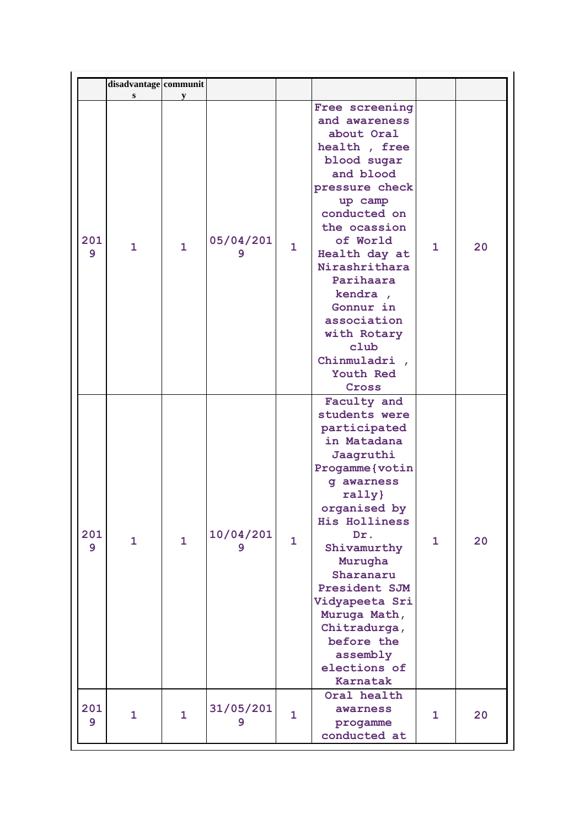|          | disadvantage communit |              |                |              |                                                                                                                                                                                                                                                                                                                                           |              |    |
|----------|-----------------------|--------------|----------------|--------------|-------------------------------------------------------------------------------------------------------------------------------------------------------------------------------------------------------------------------------------------------------------------------------------------------------------------------------------------|--------------|----|
|          | S                     | y            |                |              |                                                                                                                                                                                                                                                                                                                                           |              |    |
| 201<br>9 | $\mathbf{1}$          | $\mathbf{1}$ | 05/04/201<br>9 | $\mathbf{1}$ | Free screening<br>and awareness<br>about Oral<br>health, free<br>blood sugar<br>and blood<br>pressure check<br>up camp<br>conducted on<br>the ocassion<br>of World<br>Health day at<br>Nirashrithara<br>Parihaara<br>kendra,<br>Gonnur in<br>association<br>with Rotary<br>club<br>Chinmuladri,<br>Youth Red<br>Cross                     | 1            | 20 |
| 201<br>9 | $\mathbf{1}$          | $\mathbf{1}$ | 10/04/201<br>9 | $\mathbf{1}$ | Faculty and<br>students were<br>participated<br>in Matadana<br>Jaagruthi<br>Progamme (votin<br>q awarness<br>rally}<br>organised by<br><b>His Holliness</b><br>Dr.<br>Shivamurthy<br>Murugha<br>Sharanaru<br>President SJM<br>Vidyapeeta Sri<br>Muruga Math,<br>Chitradurga,<br>before the<br>assembly<br>elections of<br><b>Karnatak</b> | $\mathbf{1}$ | 20 |
| 201<br>9 | 1                     | $\mathbf{1}$ | 31/05/201<br>9 | $\mathbf{1}$ | Oral health<br>awarness<br>progamme<br>conducted at                                                                                                                                                                                                                                                                                       | 1            | 20 |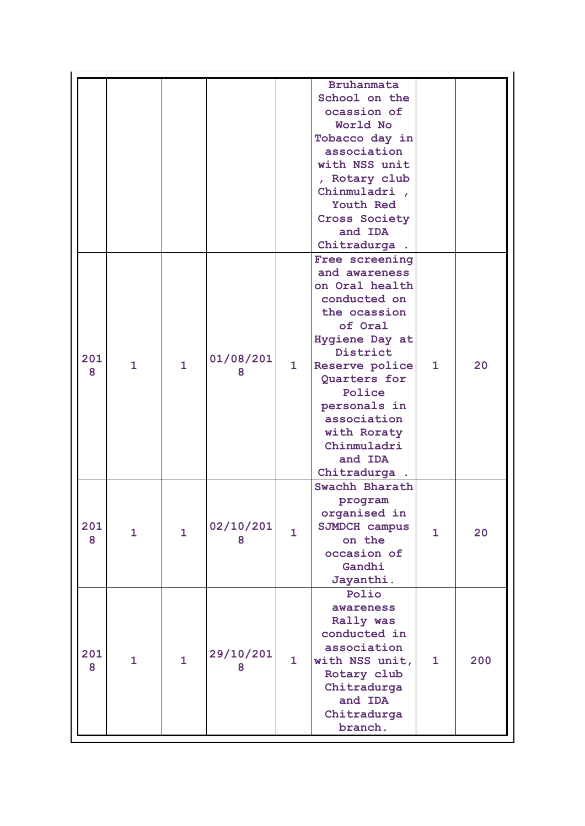| <b>Bruhanmata</b><br>School on the                                       |              |     |
|--------------------------------------------------------------------------|--------------|-----|
| ocassion of                                                              |              |     |
| World No                                                                 |              |     |
| Tobacco day in                                                           |              |     |
| association                                                              |              |     |
| with NSS unit                                                            |              |     |
| , Rotary club                                                            |              |     |
| Chinmuladri,                                                             |              |     |
| Youth Red                                                                |              |     |
|                                                                          |              |     |
| <b>Cross Society</b>                                                     |              |     |
| and IDA                                                                  |              |     |
| Chitradurga.                                                             |              |     |
| Free screening                                                           |              |     |
| and awareness                                                            |              |     |
| on Oral health                                                           |              |     |
| conducted on                                                             |              |     |
| the ocassion                                                             |              |     |
| of Oral                                                                  |              |     |
| Hygiene Day at                                                           |              |     |
| District                                                                 |              |     |
| 01/08/201<br>201<br>$\mathbf{1}$<br>$\mathbf{1}$<br>1.<br>Reserve police | $\mathbf{1}$ | 20  |
| 8<br>8<br>Quarters for                                                   |              |     |
| Police                                                                   |              |     |
| personals in                                                             |              |     |
| association                                                              |              |     |
| with Roraty                                                              |              |     |
| Chinmuladri                                                              |              |     |
| and IDA                                                                  |              |     |
| Chitradurga.                                                             |              |     |
| Swachh Bharath                                                           |              |     |
| program                                                                  |              |     |
| organised in                                                             |              |     |
| 02/10/201<br>201<br>SJMDCH campus                                        |              |     |
| $\mathbf{1}$<br>$\mathbf{1}$<br>$\mathbf{1}$<br>on the<br>8<br>8         | $\mathbf{1}$ | 20  |
| occasion of                                                              |              |     |
| Gandhi                                                                   |              |     |
|                                                                          |              |     |
| Jayanthi.                                                                |              |     |
| Polio                                                                    |              |     |
| awareness                                                                |              |     |
| Rally was                                                                |              |     |
| conducted in                                                             |              |     |
| association<br>29/10/201<br>201                                          |              |     |
| $\mathbf{1}$<br>$\mathbf{1}$<br>$\mathbf{1}$<br>with NSS unit,<br>8<br>8 | $\mathbf{1}$ | 200 |
| Rotary club                                                              |              |     |
| Chitradurga                                                              |              |     |
|                                                                          |              |     |
| and IDA                                                                  |              |     |
| Chitradurga                                                              |              |     |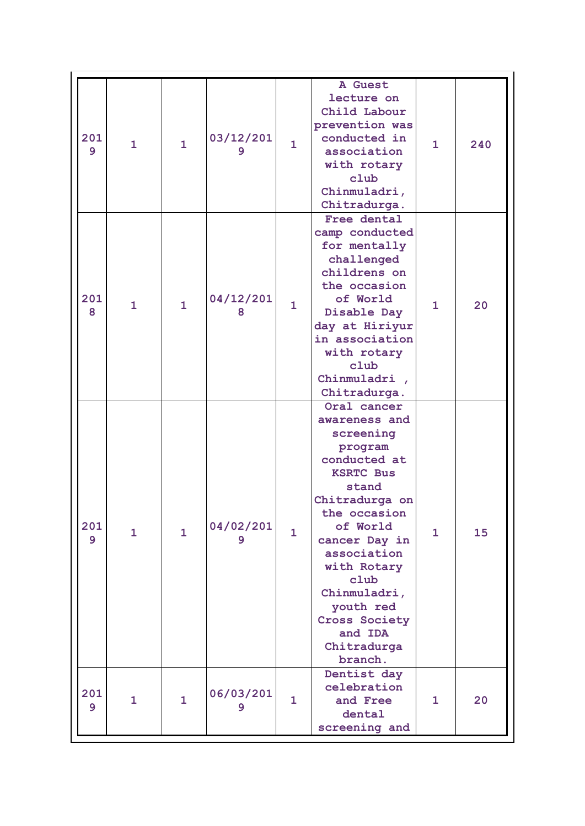| 201<br>9              | $\mathbf{1}$ | $\mathbf{1}$ | 03/12/201<br>9 | $\mathbf{1}$ | A Guest<br>lecture on<br>Child Labour<br>prevention was<br>conducted in<br>association<br>with rotary<br>club<br>Chinmuladri,<br>Chitradurga.                                                                                                                                             | $\mathbf{1}$ | 240 |
|-----------------------|--------------|--------------|----------------|--------------|-------------------------------------------------------------------------------------------------------------------------------------------------------------------------------------------------------------------------------------------------------------------------------------------|--------------|-----|
| 201<br>8              | $\mathbf{1}$ | $\mathbf{1}$ | 04/12/201<br>8 | $\mathbf{1}$ | Free dental<br>camp conducted<br>for mentally<br>challenged<br>childrens on<br>the occasion<br>of World<br>Disable Day<br>day at Hiriyur<br>in association<br>with rotary<br>club<br>Chinmuladri,<br>Chitradurga.                                                                         | $\mathbf{1}$ | 20  |
| 201<br>$\overline{9}$ | $\mathbf{1}$ | $\mathbf{1}$ | 04/02/201<br>9 | $\mathbf{1}$ | Oral cancer<br>awareness and<br>screening<br>program<br>conducted at<br><b>KSRTC Bus</b><br>stand<br>Chitradurga on<br>the occasion<br>of World<br>cancer Day in<br>association<br>with Rotary<br>club<br>Chinmuladri,<br>youth red<br>Cross Society<br>and IDA<br>Chitradurga<br>branch. | $\mathbf{1}$ | 15  |
| 201<br>$\overline{9}$ | $\mathbf{1}$ | $\mathbf{1}$ | 06/03/201<br>9 | $\mathbf{1}$ | Dentist day<br>celebration<br>and Free<br>dental<br>screening and                                                                                                                                                                                                                         | $\mathbf{1}$ | 20  |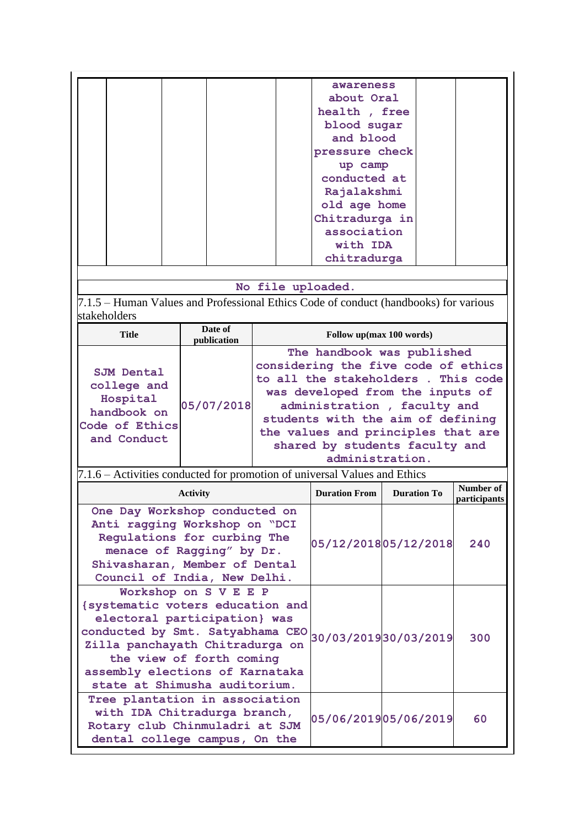|  |                                                                                           |                 |             |                   | awareness                          |                                     |  |                           |
|--|-------------------------------------------------------------------------------------------|-----------------|-------------|-------------------|------------------------------------|-------------------------------------|--|---------------------------|
|  |                                                                                           |                 |             |                   | about Oral                         |                                     |  |                           |
|  |                                                                                           |                 |             |                   | health, free                       |                                     |  |                           |
|  |                                                                                           |                 |             |                   | blood sugar                        |                                     |  |                           |
|  |                                                                                           |                 |             |                   | and blood                          |                                     |  |                           |
|  |                                                                                           |                 |             |                   |                                    |                                     |  |                           |
|  |                                                                                           |                 |             |                   | pressure check                     |                                     |  |                           |
|  |                                                                                           |                 |             |                   | up camp                            |                                     |  |                           |
|  |                                                                                           |                 |             |                   | conducted at                       |                                     |  |                           |
|  |                                                                                           |                 |             |                   | Rajalakshmi                        |                                     |  |                           |
|  |                                                                                           |                 |             |                   | old age home                       |                                     |  |                           |
|  |                                                                                           |                 |             |                   | Chitradurga in                     |                                     |  |                           |
|  |                                                                                           |                 |             |                   | association                        |                                     |  |                           |
|  |                                                                                           |                 |             |                   | with IDA                           |                                     |  |                           |
|  |                                                                                           |                 |             |                   | chitradurga                        |                                     |  |                           |
|  |                                                                                           |                 |             |                   |                                    |                                     |  |                           |
|  |                                                                                           |                 |             | No file uploaded. |                                    |                                     |  |                           |
|  | 7.1.5 – Human Values and Professional Ethics Code of conduct (handbooks) for various      |                 |             |                   |                                    |                                     |  |                           |
|  | stakeholders                                                                              |                 |             |                   |                                    |                                     |  |                           |
|  |                                                                                           |                 | Date of     |                   |                                    |                                     |  |                           |
|  | <b>Title</b>                                                                              |                 | publication |                   |                                    | Follow up(max 100 words)            |  |                           |
|  |                                                                                           |                 |             |                   |                                    | The handbook was published          |  |                           |
|  |                                                                                           |                 |             |                   |                                    | considering the five code of ethics |  |                           |
|  | <b>SJM Dental</b>                                                                         |                 |             |                   |                                    | to all the stakeholders. This code  |  |                           |
|  | college and                                                                               |                 |             |                   | was developed from the inputs of   |                                     |  |                           |
|  | Hospital                                                                                  |                 | 05/07/2018  |                   |                                    | administration, faculty and         |  |                           |
|  | handbook on                                                                               |                 |             |                   | students with the aim of defining  |                                     |  |                           |
|  | Code of Ethics                                                                            |                 |             |                   | the values and principles that are |                                     |  |                           |
|  | and Conduct                                                                               |                 |             |                   |                                    | shared by students faculty and      |  |                           |
|  |                                                                                           |                 |             |                   |                                    | administration.                     |  |                           |
|  | 7.1.6 – Activities conducted for promotion of universal Values and Ethics                 |                 |             |                   |                                    |                                     |  |                           |
|  |                                                                                           |                 |             |                   |                                    |                                     |  |                           |
|  |                                                                                           | <b>Activity</b> |             |                   | <b>Duration From</b>               | <b>Duration To</b>                  |  | Number of<br>participants |
|  | One Day Workshop conducted on                                                             |                 |             |                   |                                    |                                     |  |                           |
|  |                                                                                           |                 |             |                   |                                    |                                     |  |                           |
|  | Anti ragging Workshop on "DCI<br>Regulations for curbing The<br>menace of Ragging" by Dr. |                 |             |                   | 05/12/201805/12/2018               | 240                                 |  |                           |
|  |                                                                                           |                 |             |                   |                                    |                                     |  |                           |
|  | Shivasharan, Member of Dental                                                             |                 |             |                   |                                    |                                     |  |                           |
|  | Council of India, New Delhi.                                                              |                 |             |                   |                                    |                                     |  |                           |
|  |                                                                                           |                 |             |                   |                                    |                                     |  |                           |
|  |                                                                                           |                 |             |                   |                                    |                                     |  |                           |
|  | Workshop on S V E E P                                                                     |                 |             |                   |                                    |                                     |  |                           |
|  | {systematic voters education and                                                          |                 |             |                   |                                    |                                     |  |                           |
|  | electoral participation} was                                                              |                 |             |                   |                                    |                                     |  |                           |
|  | conducted by Smt. Satyabhama CEO                                                          |                 |             |                   |                                    |                                     |  | 300                       |
|  | Zilla panchayath Chitradurga on                                                           |                 |             |                   |                                    | 30/03/201930/03/2019                |  |                           |
|  | the view of forth coming                                                                  |                 |             |                   |                                    |                                     |  |                           |
|  | assembly elections of Karnataka                                                           |                 |             |                   |                                    |                                     |  |                           |
|  | state at Shimusha auditorium.                                                             |                 |             |                   |                                    |                                     |  |                           |
|  | Tree plantation in association                                                            |                 |             |                   |                                    |                                     |  |                           |
|  | with IDA Chitradurga branch,                                                              |                 |             |                   |                                    |                                     |  |                           |
|  |                                                                                           |                 |             |                   |                                    | 05/06/201905/06/2019                |  | 60                        |
|  | Rotary club Chinmuladri at SJM<br>dental college campus, On the                           |                 |             |                   |                                    |                                     |  |                           |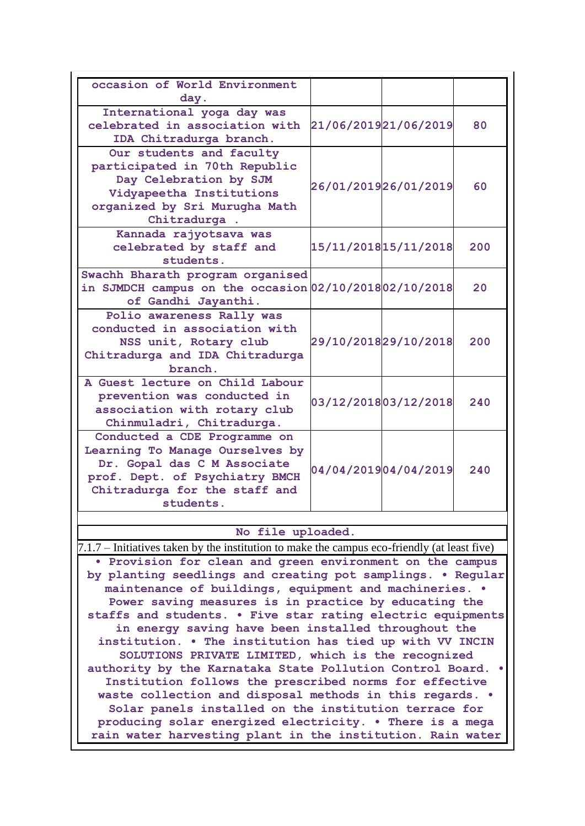| occasion of World Environment<br>day.                                                        |                      |                      |     |
|----------------------------------------------------------------------------------------------|----------------------|----------------------|-----|
| International yoga day was                                                                   |                      |                      |     |
| celebrated in association with                                                               |                      | 21/06/201921/06/2019 | 80  |
| IDA Chitradurga branch.                                                                      |                      |                      |     |
|                                                                                              |                      |                      |     |
| Our students and faculty                                                                     |                      |                      |     |
| participated in 70th Republic                                                                |                      |                      |     |
| Day Celebration by SJM                                                                       | 26/01/201926/01/2019 |                      | 60  |
| Vidyapeetha Institutions                                                                     |                      |                      |     |
| organized by Sri Murugha Math                                                                |                      |                      |     |
| Chitradurga.                                                                                 |                      |                      |     |
| Kannada rajyotsava was                                                                       |                      |                      |     |
|                                                                                              |                      |                      | 200 |
| celebrated by staff and                                                                      |                      | 15/11/201815/11/2018 |     |
| students.                                                                                    |                      |                      |     |
| Swachh Bharath program organised                                                             |                      |                      |     |
| in SJMDCH campus on the occasion 02/10/2018 02/10/2018                                       |                      |                      | 20  |
| of Gandhi Jayanthi.                                                                          |                      |                      |     |
| Polio awareness Rally was                                                                    |                      |                      |     |
| conducted in association with                                                                |                      |                      |     |
| NSS unit, Rotary club                                                                        |                      | 29/10/201829/10/2018 | 200 |
|                                                                                              |                      |                      |     |
| Chitradurga and IDA Chitradurga                                                              |                      |                      |     |
| branch.                                                                                      |                      |                      |     |
| A Guest lecture on Child Labour                                                              |                      |                      |     |
| prevention was conducted in                                                                  |                      | 03/12/201803/12/2018 | 240 |
| association with rotary club                                                                 |                      |                      |     |
| Chinmuladri, Chitradurga.                                                                    |                      |                      |     |
| Conducted a CDE Programme on                                                                 |                      |                      |     |
| Learning To Manage Ourselves by                                                              |                      |                      |     |
| Dr. Gopal das C M Associate                                                                  |                      |                      |     |
|                                                                                              |                      | 04/04/201904/04/2019 | 240 |
| prof. Dept. of Psychiatry BMCH                                                               |                      |                      |     |
| Chitradurga for the staff and                                                                |                      |                      |     |
| students.                                                                                    |                      |                      |     |
|                                                                                              |                      |                      |     |
| No file uploaded.                                                                            |                      |                      |     |
| 7.1.7 – Initiatives taken by the institution to make the campus eco-friendly (at least five) |                      |                      |     |
| • Provision for clean and green environment on the campus                                    |                      |                      |     |
| by planting seedlings and creating pot samplings. . Regular                                  |                      |                      |     |
| maintenance of buildings, equipment and machineries. .                                       |                      |                      |     |
|                                                                                              |                      |                      |     |
| Power saving measures is in practice by educating the                                        |                      |                      |     |
| staffs and students. . Five star rating electric equipments                                  |                      |                      |     |
| in energy saving have been installed throughout the                                          |                      |                      |     |
| institution. . The institution has tied up with VV INCIN                                     |                      |                      |     |
| SOLUTIONS PRIVATE LIMITED, which is the recognized                                           |                      |                      |     |
| authority by the Karnataka State Pollution Control Board. .                                  |                      |                      |     |
| Institution follows the prescribed norms for effective                                       |                      |                      |     |
| waste collection and disposal methods in this regards. .                                     |                      |                      |     |
| Solar panels installed on the institution terrace for                                        |                      |                      |     |
| producing solar energized electricity. . There is a mega                                     |                      |                      |     |
|                                                                                              |                      |                      |     |
| rain water harvesting plant in the institution. Rain water                                   |                      |                      |     |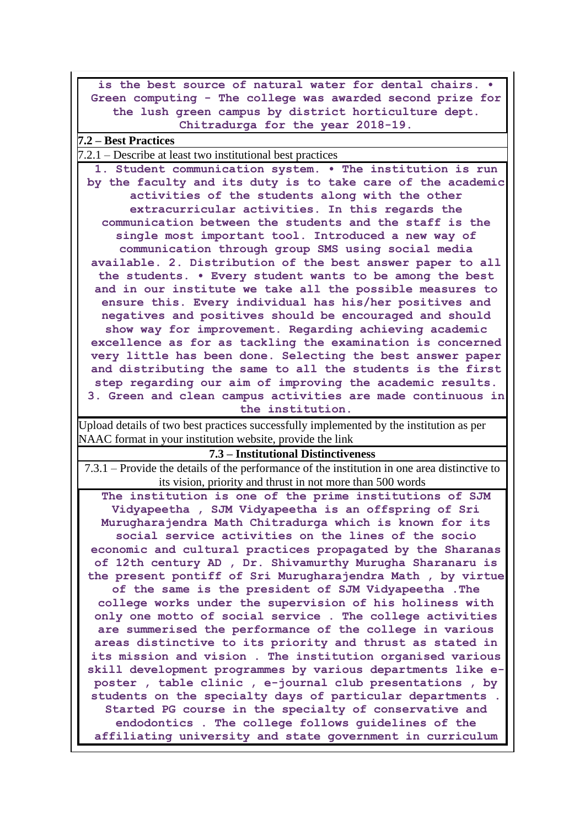| is the best source of natural water for dental chairs.                                                               |
|----------------------------------------------------------------------------------------------------------------------|
| Green computing - The college was awarded second prize for                                                           |
| the lush green campus by district horticulture dept.                                                                 |
| Chitradurga for the year 2018-19.                                                                                    |
| 7.2 – Best Practices                                                                                                 |
| 7.2.1 – Describe at least two institutional best practices                                                           |
| 1. Student communication system. . The institution is run                                                            |
| by the faculty and its duty is to take care of the academic                                                          |
| activities of the students along with the other                                                                      |
| extracurricular activities. In this regards the                                                                      |
| communication between the students and the staff is the                                                              |
| single most important tool. Introduced a new way of                                                                  |
| communication through group SMS using social media                                                                   |
| available. 2. Distribution of the best answer paper to all                                                           |
| the students. . Every student wants to be among the best                                                             |
| and in our institute we take all the possible measures to                                                            |
| ensure this. Every individual has his/her positives and<br>negatives and positives should be encouraged and should   |
| show way for improvement. Regarding achieving academic                                                               |
| excellence as for as tackling the examination is concerned                                                           |
| very little has been done. Selecting the best answer paper                                                           |
| and distributing the same to all the students is the first                                                           |
| step regarding our aim of improving the academic results.                                                            |
| 3. Green and clean campus activities are made continuous in                                                          |
| the institution.                                                                                                     |
| Upload details of two best practices successfully implemented by the institution as per                              |
| NAAC format in your institution website, provide the link                                                            |
| 7.3 – Institutional Distinctiveness                                                                                  |
| 7.3.1 – Provide the details of the performance of the institution in one area distinctive to                         |
| its vision, priority and thrust in not more than 500 words                                                           |
| The institution is one of the prime institutions of SJM                                                              |
| Vidyapeetha, SJM Vidyapeetha is an offspring of Sri                                                                  |
| Murugharajendra Math Chitradurga which is known for its                                                              |
| social service activities on the lines of the socio                                                                  |
| economic and cultural practices propagated by the Sharanas                                                           |
| of 12th century AD, Dr. Shivamurthy Murugha Sharanaru is                                                             |
| the present pontiff of Sri Murugharajendra Math, by virtue                                                           |
| of the same is the president of SJM Vidyapeetha . The                                                                |
| college works under the supervision of his holiness with                                                             |
| only one motto of social service. The college activities<br>are summerised the performance of the college in various |
| areas distinctive to its priority and thrust as stated in                                                            |
| its mission and vision . The institution organised various                                                           |
| skill development programmes by various departments like e-                                                          |
| poster, table clinic, e-journal club presentations, by                                                               |
| students on the specialty days of particular departments.                                                            |
| Started PG course in the specialty of conservative and                                                               |
| endodontics. The college follows guidelines of the                                                                   |
| affiliating university and state government in curriculum                                                            |
|                                                                                                                      |